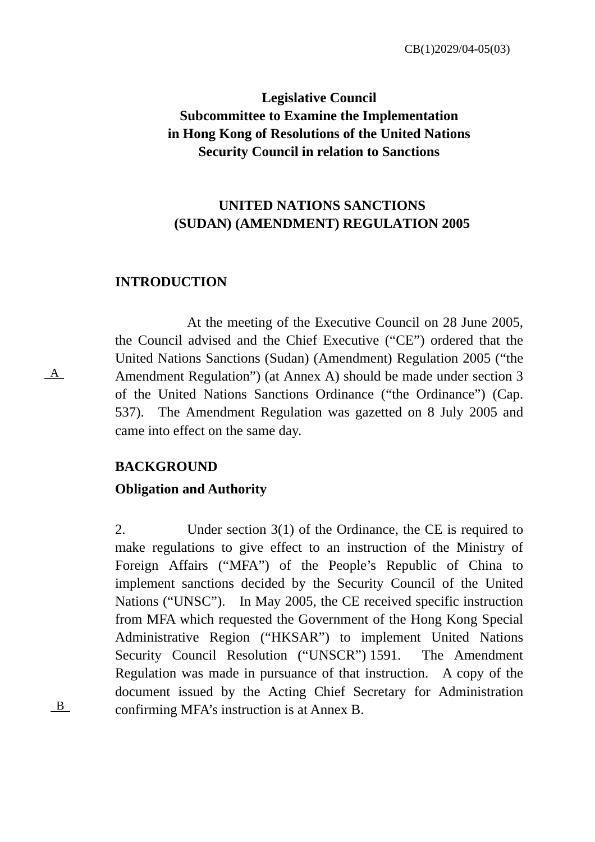CB(1)2029/04-05(03)

# **Legislative Council Subcommittee to Examine the Implementation in Hong Kong of Resolutions of the United Nations Security Council in relation to Sanctions**

### **UNITED NATIONS SANCTIONS (SUDAN) (AMENDMENT) REGULATION 2005**

#### **INTRODUCTION**

At the meeting of the Executive Council on 28 June 2005, the Council advised and the Chief Executive ("CE") ordered that the United Nations Sanctions (Sudan) (Amendment) Regulation 2005 ("the Amendment Regulation") (at Annex A) should be made under section 3 of the United Nations Sanctions Ordinance ("the Ordinance") (Cap. 537). The Amendment Regulation was gazetted on 8 July 2005 and came into effect on the same day.

#### **BACKGROUND**

#### **Obligation and Authority**

2. Under section 3(1) of the Ordinance, the CE is required to make regulations to give effect to an instruction of the Ministry of Foreign Affairs ("MFA") of the People's Republic of China to implement sanctions decided by the Security Council of the United Nations ("UNSC"). In May 2005, the CE received specific instruction from MFA which requested the Government of the Hong Kong Special Administrative Region ("HKSAR") to implement United Nations Security Council Resolution ("UNSCR") 1591. The Amendment Regulation was made in pursuance of that instruction. A copy of the document issued by the Acting Chief Secretary for Administration  $\underline{B}$  confirming MFA's instruction is at Annex B.

A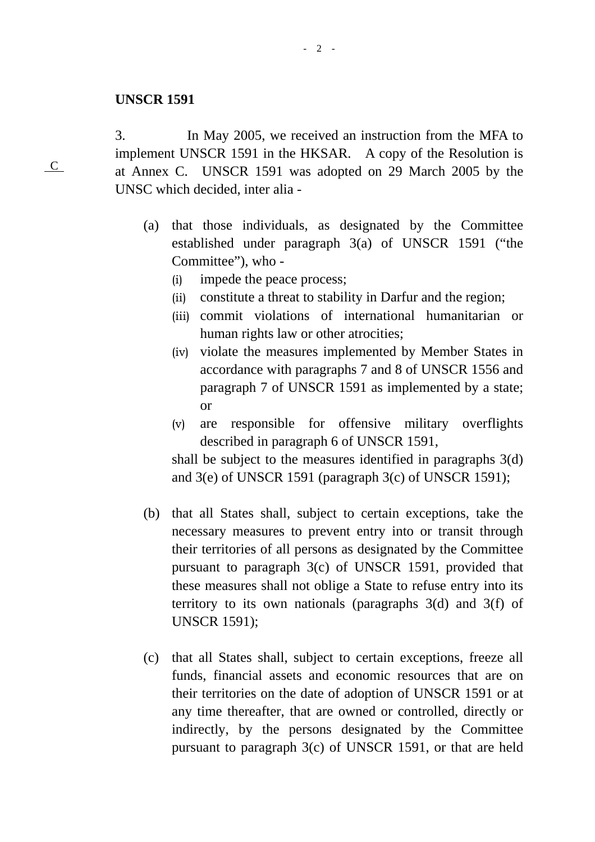#### **UNSCR 1591**

C

3. In May 2005, we received an instruction from the MFA to implement UNSCR 1591 in the HKSAR. A copy of the Resolution is at Annex C. UNSCR 1591 was adopted on 29 March 2005 by the UNSC which decided, inter alia -

- (a) that those individuals, as designated by the Committee established under paragraph 3(a) of UNSCR 1591 ("the Committee"), who -
	- (i) impede the peace process;
	- (ii) constitute a threat to stability in Darfur and the region;
	- (iii) commit violations of international humanitarian or human rights law or other atrocities;
	- (iv) violate the measures implemented by Member States in accordance with paragraphs 7 and 8 of UNSCR 1556 and paragraph 7 of UNSCR 1591 as implemented by a state; or
	- (v) are responsible for offensive military overflights described in paragraph 6 of UNSCR 1591,

shall be subject to the measures identified in paragraphs 3(d) and 3(e) of UNSCR 1591 (paragraph 3(c) of UNSCR 1591);

- (b) that all States shall, subject to certain exceptions, take the necessary measures to prevent entry into or transit through their territories of all persons as designated by the Committee pursuant to paragraph 3(c) of UNSCR 1591, provided that these measures shall not oblige a State to refuse entry into its territory to its own nationals (paragraphs 3(d) and 3(f) of UNSCR 1591);
- (c) that all States shall, subject to certain exceptions, freeze all funds, financial assets and economic resources that are on their territories on the date of adoption of UNSCR 1591 or at any time thereafter, that are owned or controlled, directly or indirectly, by the persons designated by the Committee pursuant to paragraph 3(c) of UNSCR 1591, or that are held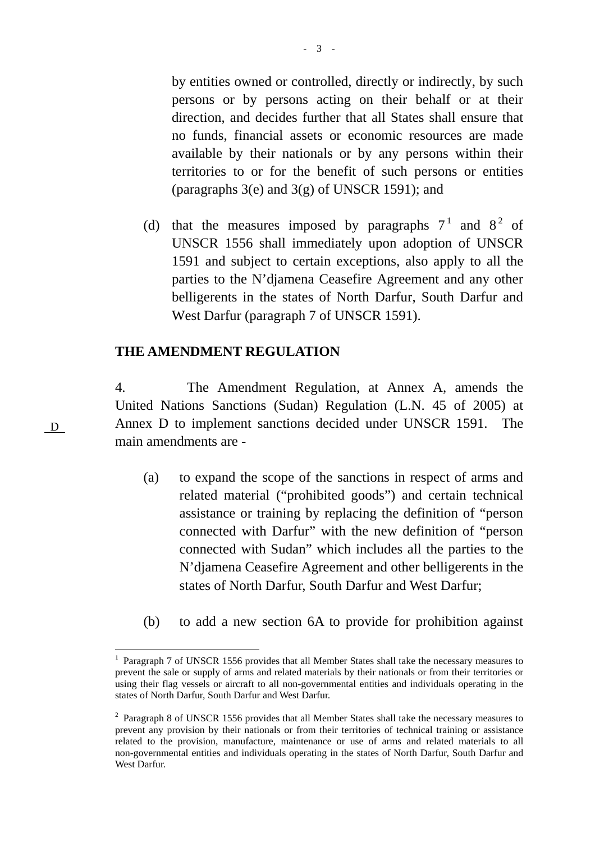by entities owned or controlled, directly or indirectly, by such persons or by persons acting on their behalf or at their direction, and decides further that all States shall ensure that no funds, financial assets or economic resources are made available by their nationals or by any persons within their territories to or for the benefit of such persons or entities (paragraphs 3(e) and 3(g) of UNSCR 1591); and

(d) that the measures imposed by paragraphs  $7<sup>1</sup>$  and  $8<sup>2</sup>$  of UNSCR 1556 shall immediately upon adoption of UNSCR 1591 and subject to certain exceptions, also apply to all the parties to the N'djamena Ceasefire Agreement and any other belligerents in the states of North Darfur, South Darfur and West Darfur (paragraph 7 of UNSCR 1591).

#### **THE AMENDMENT REGULATION**

4. The Amendment Regulation, at Annex A, amends the United Nations Sanctions (Sudan) Regulation (L.N. 45 of 2005) at Annex D to implement sanctions decided under UNSCR 1591. The main amendments are -

- (a) to expand the scope of the sanctions in respect of arms and related material ("prohibited goods") and certain technical assistance or training by replacing the definition of "person connected with Darfur" with the new definition of "person connected with Sudan" which includes all the parties to the N'djamena Ceasefire Agreement and other belligerents in the states of North Darfur, South Darfur and West Darfur;
- (b) to add a new section 6A to provide for prohibition against

D

 $\overline{a}$ 

<sup>&</sup>lt;sup>1</sup> Paragraph 7 of UNSCR 1556 provides that all Member States shall take the necessary measures to prevent the sale or supply of arms and related materials by their nationals or from their territories or using their flag vessels or aircraft to all non-governmental entities and individuals operating in the states of North Darfur, South Darfur and West Darfur.

 $2$  Paragraph 8 of UNSCR 1556 provides that all Member States shall take the necessary measures to prevent any provision by their nationals or from their territories of technical training or assistance related to the provision, manufacture, maintenance or use of arms and related materials to all non-governmental entities and individuals operating in the states of North Darfur, South Darfur and West Darfur.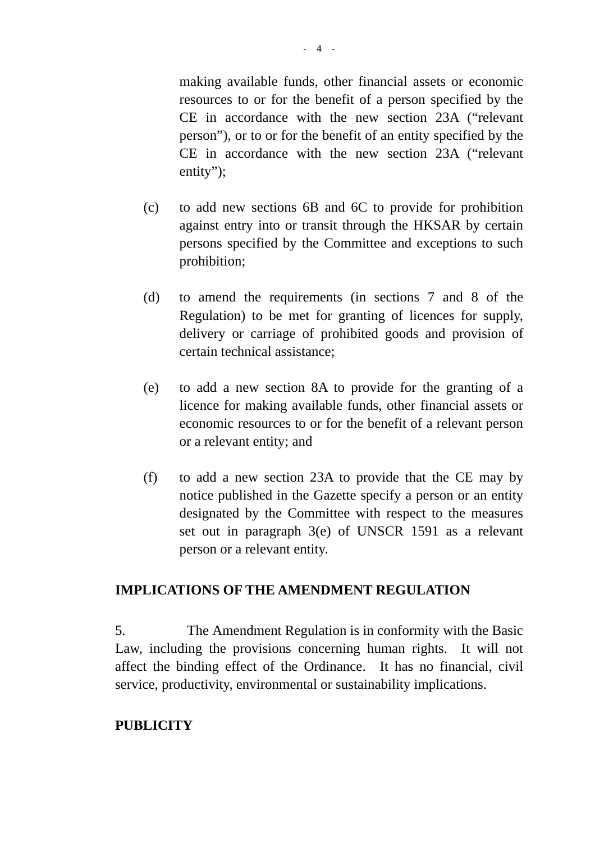making available funds, other financial assets or economic resources to or for the benefit of a person specified by the CE in accordance with the new section 23A ("relevant person"), or to or for the benefit of an entity specified by the CE in accordance with the new section 23A ("relevant entity");

- (c) to add new sections 6B and 6C to provide for prohibition against entry into or transit through the HKSAR by certain persons specified by the Committee and exceptions to such prohibition;
- (d) to amend the requirements (in sections 7 and 8 of the Regulation) to be met for granting of licences for supply, delivery or carriage of prohibited goods and provision of certain technical assistance;
- (e) to add a new section 8A to provide for the granting of a licence for making available funds, other financial assets or economic resources to or for the benefit of a relevant person or a relevant entity; and
- (f) to add a new section 23A to provide that the CE may by notice published in the Gazette specify a person or an entity designated by the Committee with respect to the measures set out in paragraph 3(e) of UNSCR 1591 as a relevant person or a relevant entity.

#### **IMPLICATIONS OF THE AMENDMENT REGULATION**

5. The Amendment Regulation is in conformity with the Basic Law, including the provisions concerning human rights. It will not affect the binding effect of the Ordinance. It has no financial, civil service, productivity, environmental or sustainability implications.

#### **PUBLICITY**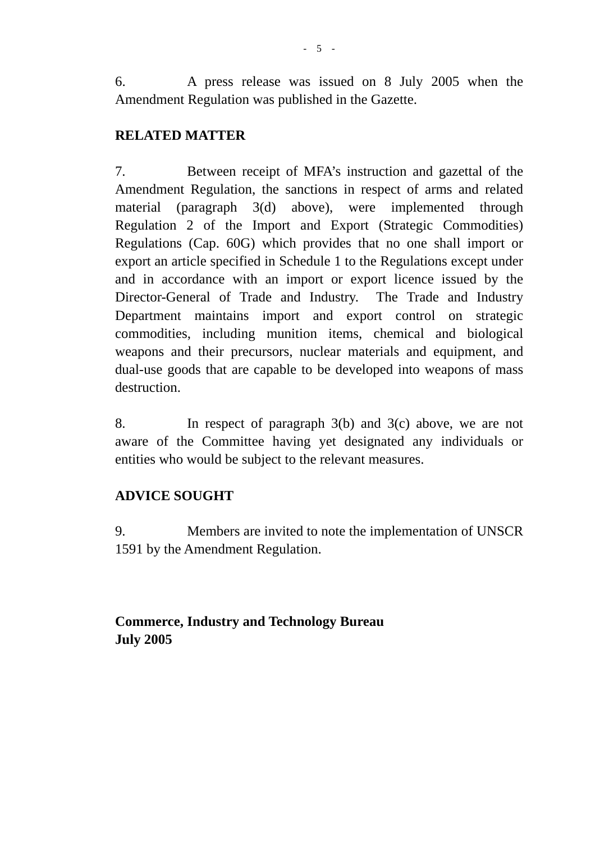6. A press release was issued on 8 July 2005 when the Amendment Regulation was published in the Gazette.

#### **RELATED MATTER**

7. Between receipt of MFA's instruction and gazettal of the Amendment Regulation, the sanctions in respect of arms and related material (paragraph 3(d) above), were implemented through Regulation 2 of the Import and Export (Strategic Commodities) Regulations (Cap. 60G) which provides that no one shall import or export an article specified in Schedule 1 to the Regulations except under and in accordance with an import or export licence issued by the Director-General of Trade and Industry. The Trade and Industry Department maintains import and export control on strategic commodities, including munition items, chemical and biological weapons and their precursors, nuclear materials and equipment, and dual-use goods that are capable to be developed into weapons of mass destruction.

8. In respect of paragraph 3(b) and 3(c) above, we are not aware of the Committee having yet designated any individuals or entities who would be subject to the relevant measures.

### **ADVICE SOUGHT**

9. Members are invited to note the implementation of UNSCR 1591 by the Amendment Regulation.

**Commerce, Industry and Technology Bureau July 2005**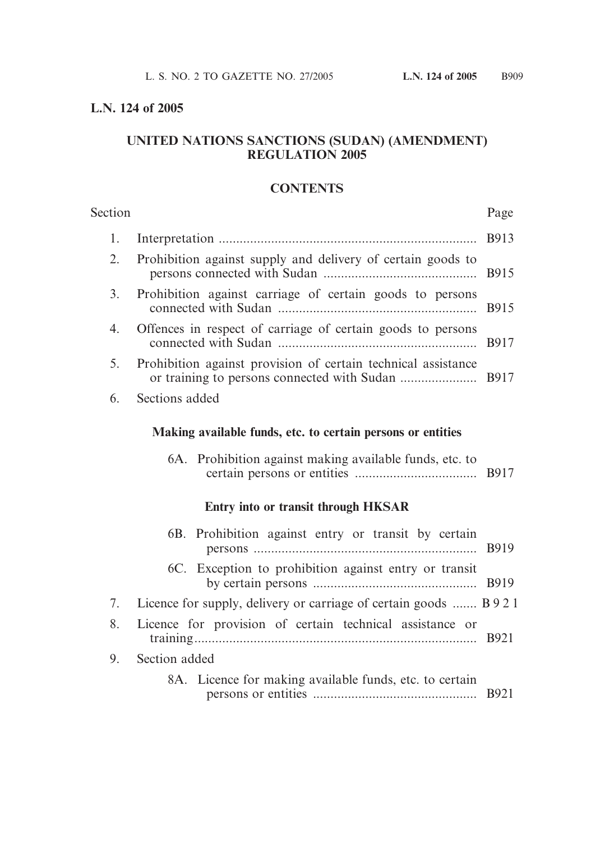#### **L.N. 124 of 2005**

#### **UNITED NATIONS SANCTIONS (SUDAN) (AMENDMENT) REGULATION 2005**

#### **CONTENTS**

| Section |                                                               | Page         |
|---------|---------------------------------------------------------------|--------------|
| 1.      |                                                               | <b>B913</b>  |
| 2.      | Prohibition against supply and delivery of certain goods to   | <b>B915</b>  |
| 3.      | Prohibition against carriage of certain goods to persons      | <b>B915</b>  |
| 4.      | Offences in respect of carriage of certain goods to persons   | <b>B917</b>  |
| 5.      | Prohibition against provision of certain technical assistance |              |
| 6.      | Sections added                                                |              |
|         | Making available funds, etc. to certain persons or entities   |              |
|         | 6A. Prohibition against making available funds, etc. to       |              |
|         | <b>Entry into or transit through HKSAR</b>                    |              |
|         | 6B. Prohibition against entry or transit by certain           | <b>B</b> 919 |

| 6C. Exception to prohibition against entry or transit |  |
|-------------------------------------------------------|--|
|                                                       |  |

- 7. Licence for supply, delivery or carriage of certain goods ....... B921
- 8. Licence for provision of certain technical assistance or training................................................................................. B921
- 9. Section added
	- 8A. Licence for making available funds, etc. to certain persons or entities ............................................... B921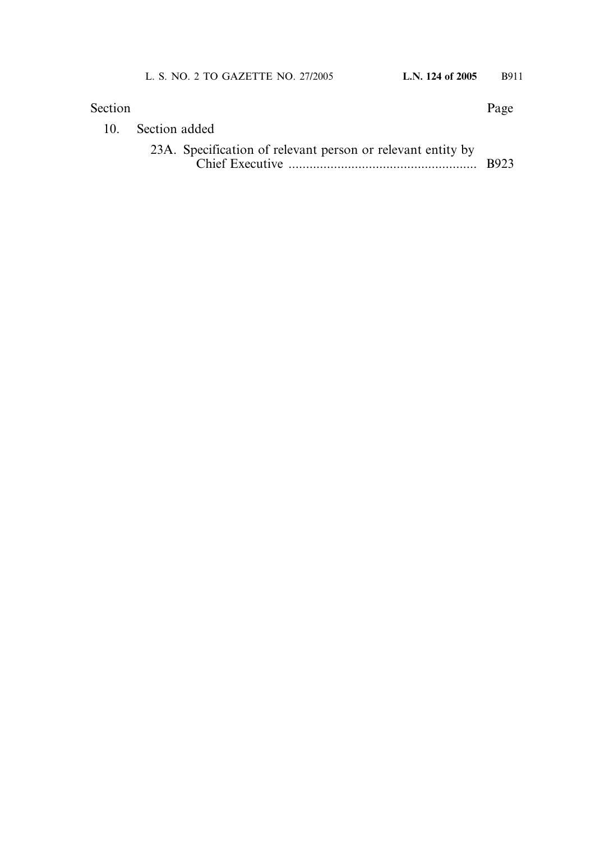| Section         |                                                             | Page        |
|-----------------|-------------------------------------------------------------|-------------|
| 10 <sub>1</sub> | Section added                                               |             |
|                 | 23A. Specification of relevant person or relevant entity by | <b>B923</b> |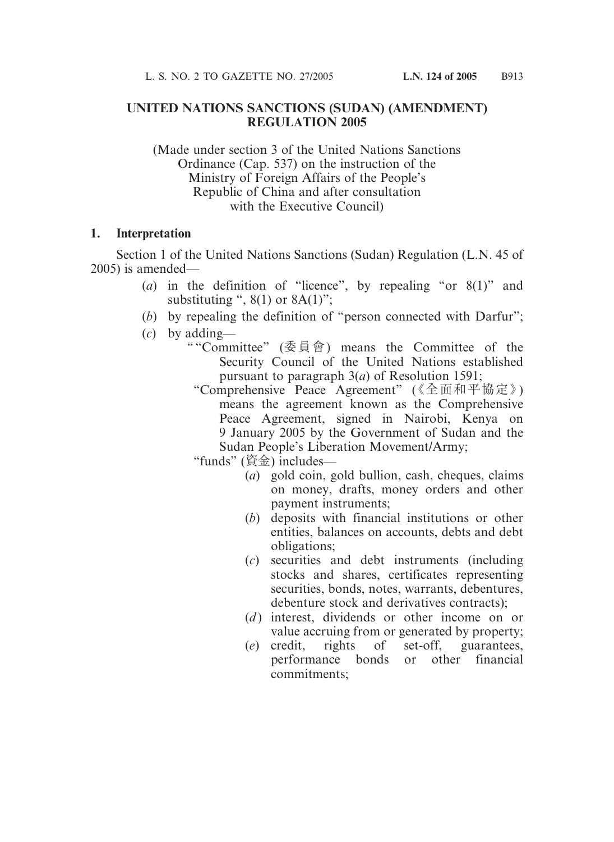#### **UNITED NATIONS SANCTIONS (SUDAN) (AMENDMENT) REGULATION 2005**

(Made under section 3 of the United Nations Sanctions Ordinance (Cap. 537) on the instruction of the Ministry of Foreign Affairs of the People's Republic of China and after consultation with the Executive Council)

#### **1. Interpretation**

Section 1 of the United Nations Sanctions (Sudan) Regulation (L.N. 45 of 2005) is amended—

- (*a*) in the definition of "licence", by repealing "or 8(1)" and substituting ",  $8(1)$  or  $8A(1)$ ":
- (*b*) by repealing the definition of "person connected with Darfur";
- (*c*) by adding—
	- " "Committee" (委員會) means the Committee of the Security Council of the United Nations established pursuant to paragraph 3(*a*) of Resolution 1591;
		- "Comprehensive Peace Agreement" (《全面和平協定》) means the agreement known as the Comprehensive Peace Agreement, signed in Nairobi, Kenya on 9 January 2005 by the Government of Sudan and the Sudan People's Liberation Movement/Army;
		- "funds" (資金) includes—
			- (*a*) gold coin, gold bullion, cash, cheques, claims on money, drafts, money orders and other payment instruments;
			- (*b*) deposits with financial institutions or other entities, balances on accounts, debts and debt obligations;
			- (*c*) securities and debt instruments (including stocks and shares, certificates representing securities, bonds, notes, warrants, debentures, debenture stock and derivatives contracts);
			- (*d*) interest, dividends or other income on or value accruing from or generated by property;
			- (*e*) credit, rights of set-off, guarantees, performance bonds or other financial commitments;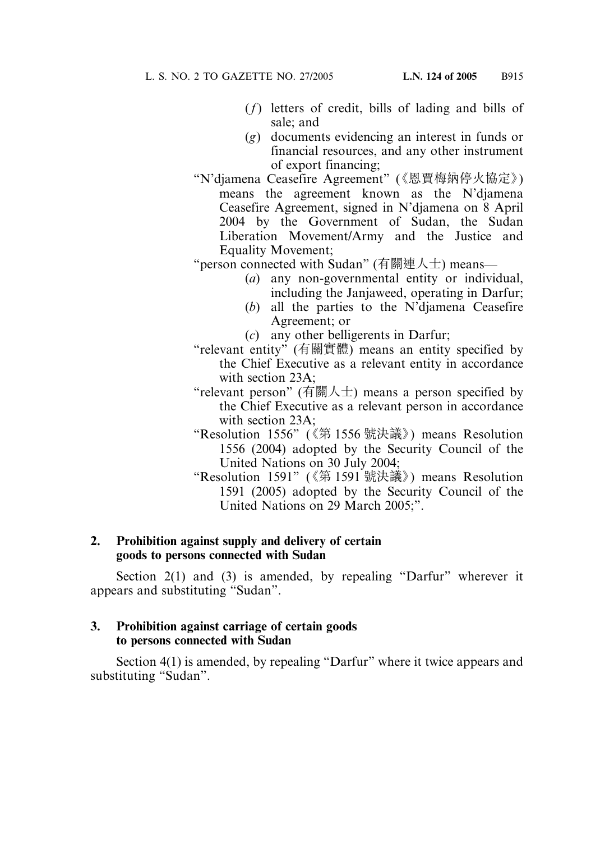- (*f*) letters of credit, bills of lading and bills of sale; and
- (*g*) documents evidencing an interest in funds or financial resources, and any other instrument of export financing;
- "N'djamena Ceasefire Agreement" (《恩賈梅納停火協定》) means the agreement known as the N'djamena Ceasefire Agreement, signed in N'djamena on 8 April 2004 by the Government of Sudan, the Sudan Liberation Movement/Army and the Justice and Equality Movement;

"person connected with Sudan" (有關連人士) means—

- (*a*) any non-governmental entity or individual, including the Janjaweed, operating in Darfur;
- (*b*) all the parties to the N'djamena Ceasefire Agreement; or
- (*c*) any other belligerents in Darfur;
- "relevant entity" (有關實體) means an entity specified by the Chief Executive as a relevant entity in accordance with section 23A;
- "relevant person" (有關人士) means a person specified by the Chief Executive as a relevant person in accordance with section 23A;
- "Resolution 1556" (《第 1556 號決議》) means Resolution 1556 (2004) adopted by the Security Council of the United Nations on 30 July 2004;
- "Resolution 1591" (《第 1591 號決議》) means Resolution 1591 (2005) adopted by the Security Council of the United Nations on 29 March 2005;".

#### **2. Prohibition against supply and delivery of certain goods to persons connected with Sudan**

Section 2(1) and (3) is amended, by repealing "Darfur" wherever it appears and substituting "Sudan".

#### **3. Prohibition against carriage of certain goods to persons connected with Sudan**

Section 4(1) is amended, by repealing "Darfur" where it twice appears and substituting "Sudan".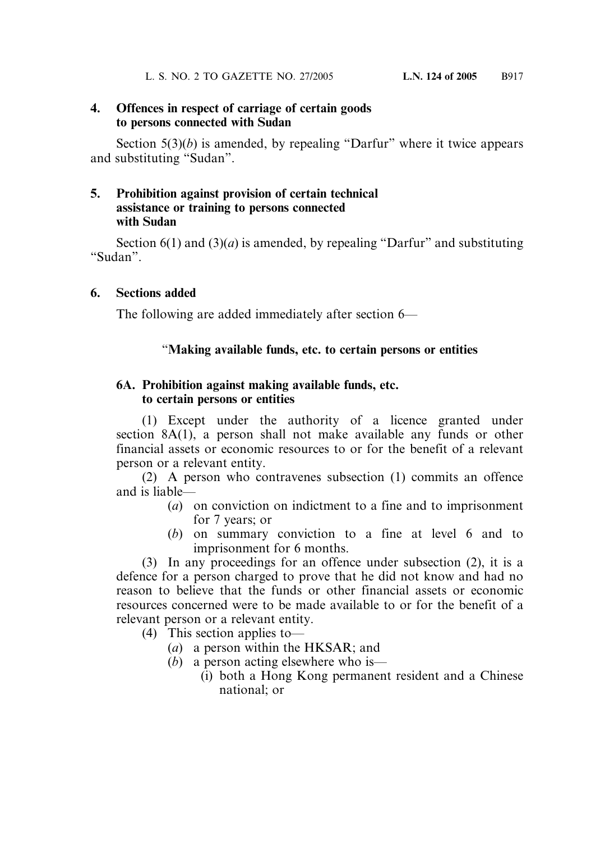#### **4. Offences in respect of carriage of certain goods to persons connected with Sudan**

Section  $5(3)(b)$  is amended, by repealing "Darfur" where it twice appears and substituting "Sudan".

#### **5. Prohibition against provision of certain technical assistance or training to persons connected with Sudan**

Section  $6(1)$  and  $(3)(a)$  is amended, by repealing "Darfur" and substituting "Sudan".

#### **6. Sections added**

The following are added immediately after section 6—

#### "**Making available funds, etc. to certain persons or entities**

#### **6A. Prohibition against making available funds, etc. to certain persons or entities**

(1) Except under the authority of a licence granted under section 8A(1), a person shall not make available any funds or other financial assets or economic resources to or for the benefit of a relevant person or a relevant entity.

(2) A person who contravenes subsection (1) commits an offence and is liable—

- (*a*) on conviction on indictment to a fine and to imprisonment for 7 years; or
- (*b*) on summary conviction to a fine at level 6 and to imprisonment for 6 months.

(3) In any proceedings for an offence under subsection (2), it is a defence for a person charged to prove that he did not know and had no reason to believe that the funds or other financial assets or economic resources concerned were to be made available to or for the benefit of a relevant person or a relevant entity.

- (4) This section applies to—
	- (*a*) a person within the HKSAR; and
	- (*b*) a person acting elsewhere who is—
		- (i) both a Hong Kong permanent resident and a Chinese national; or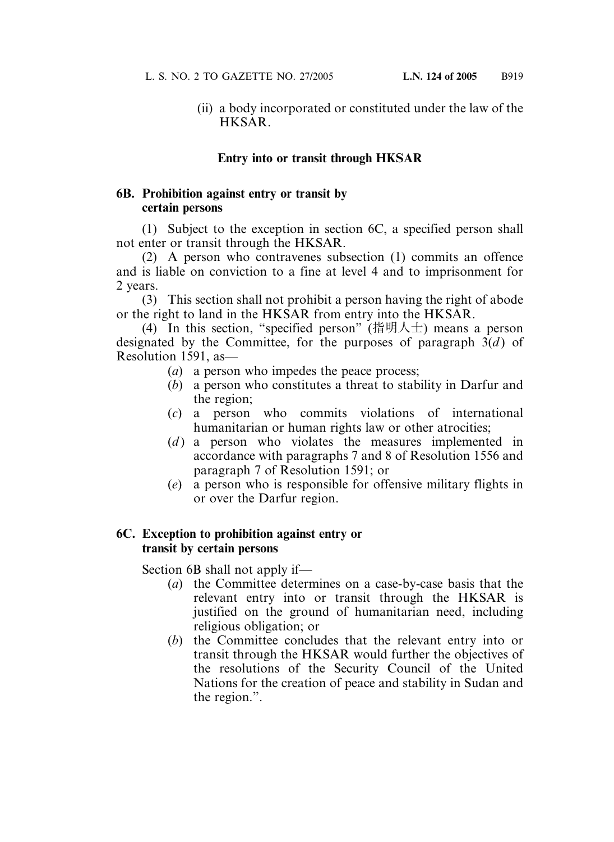(ii) a body incorporated or constituted under the law of the HKSAR.

#### **Entry into or transit through HKSAR**

#### **6B. Prohibition against entry or transit by certain persons**

(1) Subject to the exception in section 6C, a specified person shall not enter or transit through the HKSAR.

(2) A person who contravenes subsection (1) commits an offence and is liable on conviction to a fine at level 4 and to imprisonment for 2 years.

(3) This section shall not prohibit a person having the right of abode or the right to land in the HKSAR from entry into the HKSAR.

(4) In this section, "specified person" (指明人士) means a person designated by the Committee, for the purposes of paragraph  $3(d)$  of Resolution 1591, as—

- (*a*) a person who impedes the peace process;
- (*b*) a person who constitutes a threat to stability in Darfur and the region;
- (*c*) a person who commits violations of international humanitarian or human rights law or other atrocities;
- (*d*) a person who violates the measures implemented in accordance with paragraphs 7 and 8 of Resolution 1556 and paragraph 7 of Resolution 1591; or
- (*e*) a person who is responsible for offensive military flights in or over the Darfur region.

#### **6C. Exception to prohibition against entry or transit by certain persons**

Section 6B shall not apply if—

- (*a*) the Committee determines on a case-by-case basis that the relevant entry into or transit through the HKSAR is justified on the ground of humanitarian need, including religious obligation; or
- (*b*) the Committee concludes that the relevant entry into or transit through the HKSAR would further the objectives of the resolutions of the Security Council of the United Nations for the creation of peace and stability in Sudan and the region.".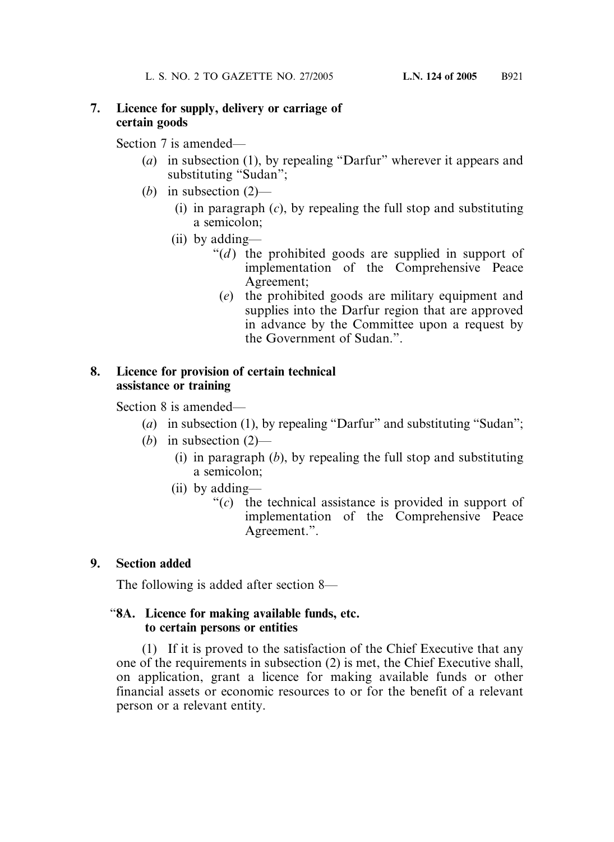#### **7. Licence for supply, delivery or carriage of certain goods**

Section 7 is amended—

- (*a*) in subsection (1), by repealing "Darfur" wherever it appears and substituting "Sudan";
- (*b*) in subsection (2)—
	- (i) in paragraph (*c*), by repealing the full stop and substituting a semicolon;
	- (ii) by adding—
		- " $(d)$  the prohibited goods are supplied in support of implementation of the Comprehensive Peace Agreement;
			- (*e*) the prohibited goods are military equipment and supplies into the Darfur region that are approved in advance by the Committee upon a request by the Government of Sudan."

#### **8. Licence for provision of certain technical assistance or training**

Section 8 is amended—

- (*a*) in subsection (1), by repealing "Darfur" and substituting "Sudan";
- (*b*) in subsection (2)—
	- (i) in paragraph (*b*), by repealing the full stop and substituting a semicolon;
	- (ii) by adding—
		- "(*c*) the technical assistance is provided in support of implementation of the Comprehensive Peace Agreement.".

### **9. Section added**

The following is added after section 8—

#### "**8A. Licence for making available funds, etc. to certain persons or entities**

(1) If it is proved to the satisfaction of the Chief Executive that any one of the requirements in subsection (2) is met, the Chief Executive shall, on application, grant a licence for making available funds or other financial assets or economic resources to or for the benefit of a relevant person or a relevant entity.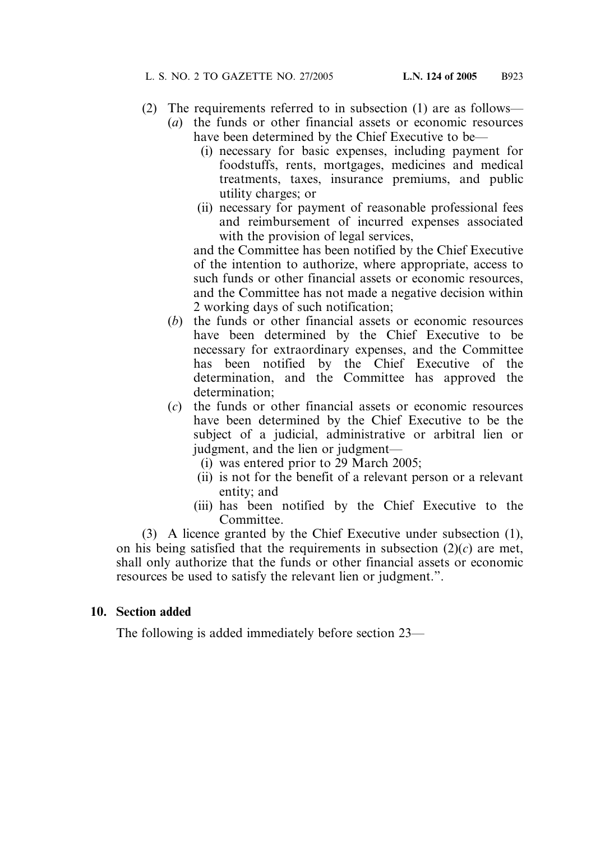- (2) The requirements referred to in subsection (1) are as follows—
	- (*a*) the funds or other financial assets or economic resources have been determined by the Chief Executive to be—
		- (i) necessary for basic expenses, including payment for foodstuffs, rents, mortgages, medicines and medical treatments, taxes, insurance premiums, and public utility charges; or
		- (ii) necessary for payment of reasonable professional fees and reimbursement of incurred expenses associated with the provision of legal services,

and the Committee has been notified by the Chief Executive of the intention to authorize, where appropriate, access to such funds or other financial assets or economic resources, and the Committee has not made a negative decision within 2 working days of such notification;

- (*b*) the funds or other financial assets or economic resources have been determined by the Chief Executive to be necessary for extraordinary expenses, and the Committee has been notified by the Chief Executive of the determination, and the Committee has approved the determination;
- (*c*) the funds or other financial assets or economic resources have been determined by the Chief Executive to be the subject of a judicial, administrative or arbitral lien or judgment, and the lien or judgment—
	- (i) was entered prior to 29 March 2005;
	- (ii) is not for the benefit of a relevant person or a relevant entity; and
	- (iii) has been notified by the Chief Executive to the Committee.

(3) A licence granted by the Chief Executive under subsection (1), on his being satisfied that the requirements in subsection (2)(*c*) are met, shall only authorize that the funds or other financial assets or economic resources be used to satisfy the relevant lien or judgment.".

#### **10. Section added**

The following is added immediately before section 23—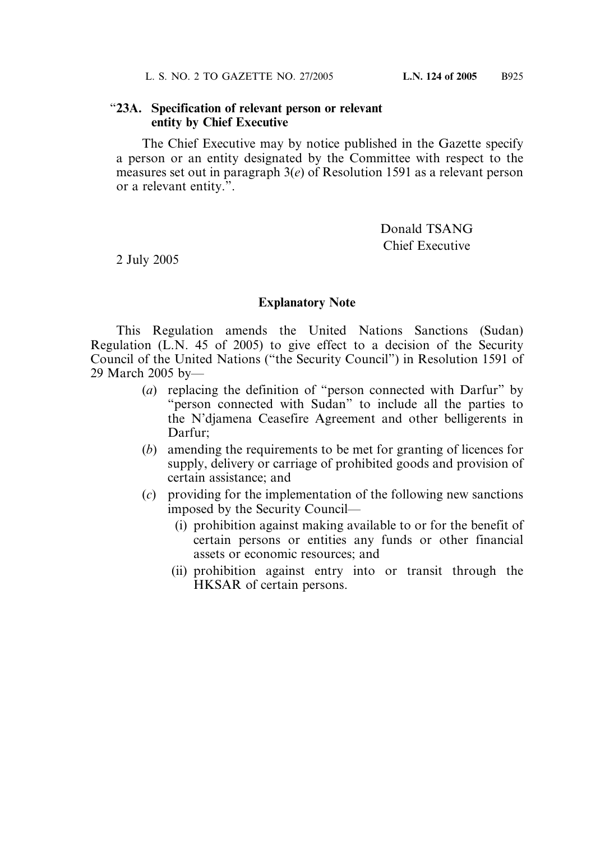#### "**23A. Specification of relevant person or relevant entity by Chief Executive**

The Chief Executive may by notice published in the Gazette specify a person or an entity designated by the Committee with respect to the measures set out in paragraph 3(*e*) of Resolution 1591 as a relevant person or a relevant entity.".

> Donald TSANG Chief Executive

2 July 2005

#### **Explanatory Note**

This Regulation amends the United Nations Sanctions (Sudan) Regulation (L.N. 45 of 2005) to give effect to a decision of the Security Council of the United Nations ("the Security Council") in Resolution 1591 of 29 March 2005 by—

- (*a*) replacing the definition of "person connected with Darfur" by "person connected with Sudan" to include all the parties to the N'djamena Ceasefire Agreement and other belligerents in Darfur;
- (*b*) amending the requirements to be met for granting of licences for supply, delivery or carriage of prohibited goods and provision of certain assistance; and
- (*c*) providing for the implementation of the following new sanctions imposed by the Security Council—
	- (i) prohibition against making available to or for the benefit of certain persons or entities any funds or other financial assets or economic resources; and
	- (ii) prohibition against entry into or transit through the HKSAR of certain persons.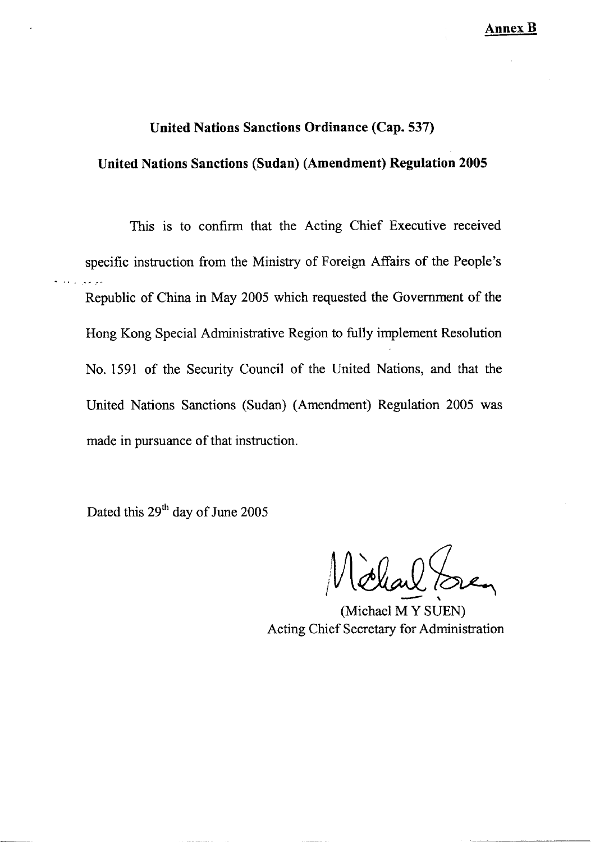#### **United Nations Sanctions Ordinance (Cap. 537)**

#### **United Nations Sanctions (Sudan) (Amendment) Regulation 2005**

This is to confirm that the Acting Chief Executive received specific instruction from the Ministry of Foreign Affairs of the People's Republic of China in May 2005 which requested the Government of the Hong Kong Special Administrative Region to fully implement Resolution No. 1591 of the Security Council of the United Nations, and that the United Nations Sanctions (Sudan) (Amendment) Regulation 2005 was made in pursuance of that instruction.

Dated this 29<sup>th</sup> day of June 2005

(Michael M Y SUEN) Acting Chief Secretary for Administration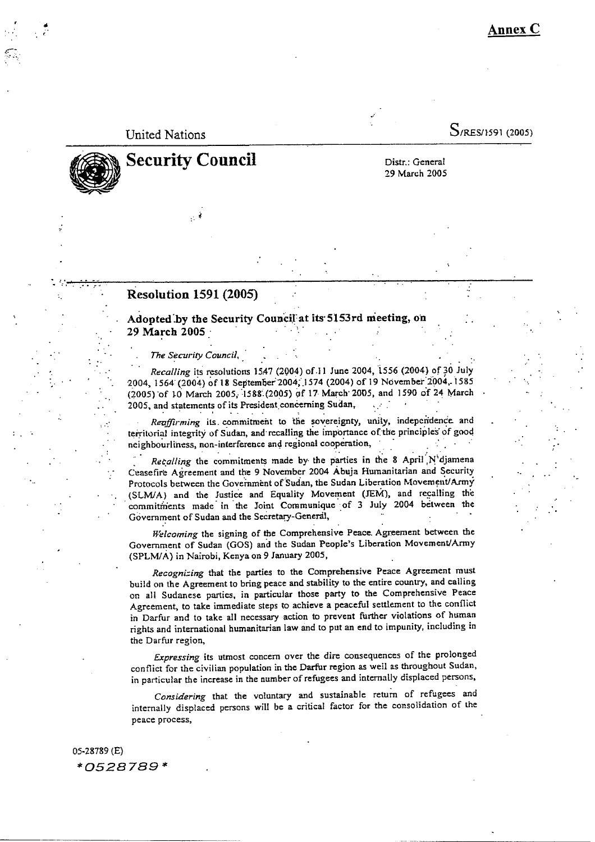**Annex C** 

#### **United Nations**

 $S$ /RES/1591 (2005)

# **Security Council**

Distr.: General 29 March 2005

#### **Resolution 1591 (2005)**

Adopted by the Security Council at its 5153rd meeting, on 29 March 2005

The Security Council,

Recalling its resolutions 1547 (2004) of 11 June 2004, 1556 (2004) of 30 July 2004, 1564 (2004) of 18 September 2004, 1574 (2004) of 19 November 2004, 1585 (2005) of 10 March 2005, 1588 (2005) of 17 March 2005, and 1590 of 24 March 2005, and statements of its President concerning Sudan,

Reaffirming its commitment to the sovereignty, unity, independence and territorial integrity of Sudan, and recalling the importance of the principles of good neighbourliness, non-interference and regional cooperation,

Recalling the commitments made by the parties in the 8 April N'djamena Ceasefire Agreement and the 9 November 2004 Abuja Humanitarian and Security Protocols between the Government of Sudan, the Sudan Liberation Movement/Army (SLM/A) and the Justice and Equality Movement (JEM), and recalling the commitments made in the Joint Communique of 3 July 2004 between the Government of Sudan and the Secretary-General,

Welcoming the signing of the Comprehensive Peace. Agreement between the Government of Sudan (GOS) and the Sudan People's Liberation Movement/Army (SPLM/A) in Nairobi, Kenya on 9 January 2005,

Recognizing that the parties to the Comprehensive Peace Agreement must build on the Agreement to bring peace and stability to the entire country, and calling on all Sudanese parties, in particular those party to the Comprehensive Peace Agreement, to take immediate steps to achieve a peaceful settlement to the conflict in Darfur and to take all necessary action to prevent further violations of human rights and international humanitarian law and to put an end to impunity, including in the Darfur region,

Expressing its utmost concern over the dire consequences of the prolonged conflict for the civilian population in the Darfur region as well as throughout Sudan, in particular the increase in the number of refugees and internally displaced persons,

Considering that the voluntary and sustainable return of refugees and internally displaced persons will be a critical factor for the consolidation of the peace process,

05-28789 (E) \*0528789\*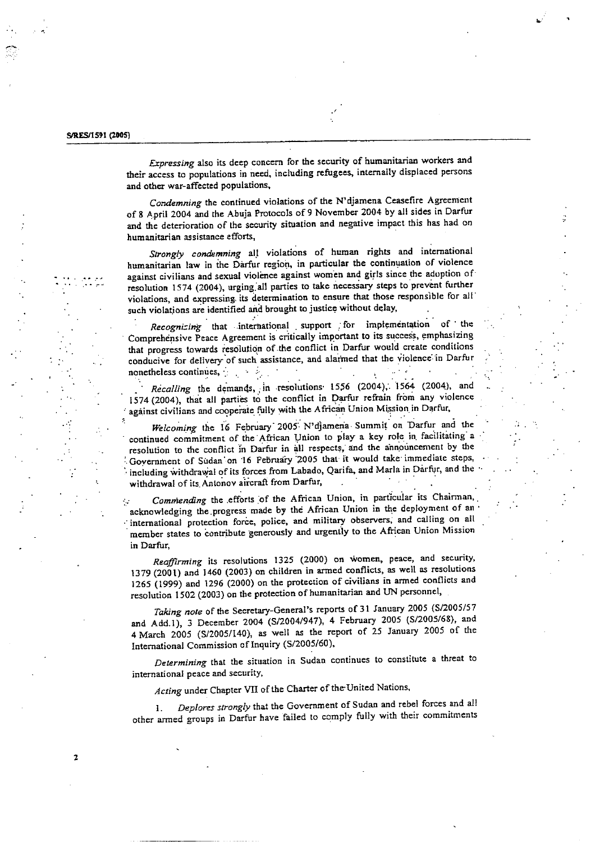$\overline{\mathbf{z}}$ 

Expressing also its deep concern for the security of humanitarian workers and their access to populations in need, including refugees, internally displaced persons and other war-affected populations,

Condemning the continued violations of the N'djamena Ceasefire Agreement of 8 April 2004 and the Abuja Protocols of 9 November 2004 by all sides in Darfur and the deterioration of the security situation and negative impact this has had on humanitarian assistance efforts,

Strongly condemning all violations of human rights and international humanitarian law in the Darfur region, in particular the continuation of violence against civilians and sexual violence against women and girls since the adoption of resolution 1574 (2004), urging all parties to take necessary steps to prevent further violations, and expressing its determination to ensure that those responsible for all such violations are identified and brought to justice without delay,

Recognizing that international support for implementation of  $the$ Comprehensive Peace Agreement is critically important to its success, emphasizing that progress towards resolution of the conflict in Darfur would create conditions conducive for delivery of such assistance, and alarmed that the violence in Darfur nonetheless continues,  $\frac{1}{2}$  and  $\frac{1}{2}$ 

Recalling the demands, in resolutions 1556 (2004), 1564 (2004), and 1574 (2004), that all parties to the conflict in Darfur refrain from any violence against civilians and cooperate fully with the African Union Mission in Darfur,

Welcoming the 16 February 2005 N'djamena Summit on Darfur and the continued commitment of the African Union to play a key role in facilitating a resolution to the conflict in Darfur in all respects, and the announcement by the Government of Sudan on 16 Pebruary 2005 that it would take immediate steps, including withdrawal of its forces from Labado, Qarifa, and Marla in Darfur, and the withdrawal of its Antonov aircraft from Darfur,

Commending the efforts of the African Union, in particular its Chairman,  $\mathcal{L}_{\mathcal{A}}$ acknowledging the progress made by the African Union in the deployment of an international protection force, police, and military observers, and calling on all member states to contribute generously and urgently to the African Union Mission in Darfur.

Reaffirming its resolutions 1325 (2000) on women, peace, and security, 1379 (2001) and 1460 (2003) on children in armed conflicts, as well as resolutions 1265 (1999) and 1296 (2000) on the protection of civilians in armed conflicts and resolution 1502 (2003) on the protection of humanitarian and UN personnel,

Taking note of the Secretary-General's reports of 31 January 2005 (S/2005/57 and Add.1), 3 December 2004 (S/2004/947), 4 February 2005 (S/2005/68), and 4 March 2005 (S/2005/140), as well as the report of 25 January 2005 of the International Commission of Inquiry (S/2005/60),

Determining that the situation in Sudan continues to constitute a threat to international peace and security,

Acting under Chapter VII of the Charter of the United Nations,

Deplores strongly that the Government of Sudan and rebel forces and all  $\mathbf{L}$ other armed groups in Darfur have failed to comply fully with their commitments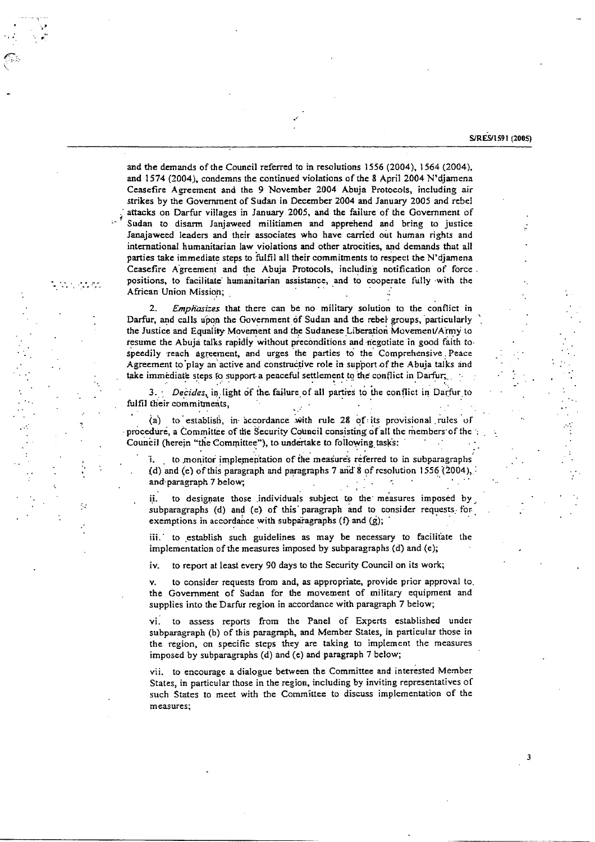#### S/RES/1591 (2005)

3

and the demands of the Council referred to in resolutions 1556 (2004), 1564 (2004), and 1574 (2004), condemns the continued violations of the 8 April 2004 N'djamena Ceasefire Agreement and the 9 November 2004 Abuja Protocols, including air strikes by the Government of Sudan in December 2004 and January 2005 and rebel attacks on Darfur villages in January 2005, and the failure of the Government of Sudan to disarm Janjaweed militiamen and apprehend and bring to justice Janajaweed leaders and their associates who have carried out human rights and international humanitarian law violations and other atrocities, and demands that all parties take immediate steps to fulfil all their commitments to respect the N'djamena Ceasefire Agreement and the Abuja Protocols, including notification of force. positions, to facilitate humanitarian assistance, and to cooperate fully with the African Union Mission;

يتوجون بالا

 $\mathcal{L}_{\mathcal{A}}$ 

Emphasizes that there can be no military solution to the conflict in Darfur, and calls upon the Government of Sudan and the rebel groups, particularly the Justice and Equality Movement and the Sudanese Liberation Movement/Army to resume the Abuja talks rapidly without preconditions and negotiate in good faith to speedily reach agreement, and urges the parties to the Comprehensive Peace Agreement to play an active and constructive role in support of the Abuja talks and take immediate steps to support a peaceful settlement to the conflict in Darfur,

3. Decides, in light of the failure of all parties to the conflict in Darfur to fulfil their commitments,

(a) to establish, in accordance with rule 28 of its provisional rules of procedure, a Committee of the Security Council consisting of all the members of the Council (herein "the Committee"), to undertake to following tasks:

to monitor implementation of the measures referred to in subparagraphs (d) and (e) of this paragraph and paragraphs 7 and 8 of resolution 1556 (2004), and paragraph 7 below;

to designate those individuals subject to the measures imposed by ii. subparagraphs (d) and (e) of this paragraph and to consider requests for exemptions in accordance with subparagraphs  $(f)$  and  $(g)$ ;

iii. to establish such guidelines as may be necessary to facilitate the implementation of the measures imposed by subparagraphs (d) and (e);

to report at least every 90 days to the Security Council on its work; iv.

to consider requests from and, as appropriate, provide prior approval to.  $\mathbf{v}$ the Government of Sudan for the movement of military equipment and supplies into the Darfur region in accordance with paragraph 7 below;

vi. to assess reports from the Panel of Experts established under subparagraph (b) of this paragraph, and Member States, in particular those in the region, on specific steps they are taking to implement the measures imposed by subparagraphs (d) and (e) and paragraph 7 below;

vii. to encourage a dialogue between the Committee and interested Member States, in particular those in the region, including by inviting representatives of such States to meet with the Committee to discuss implementation of the measures;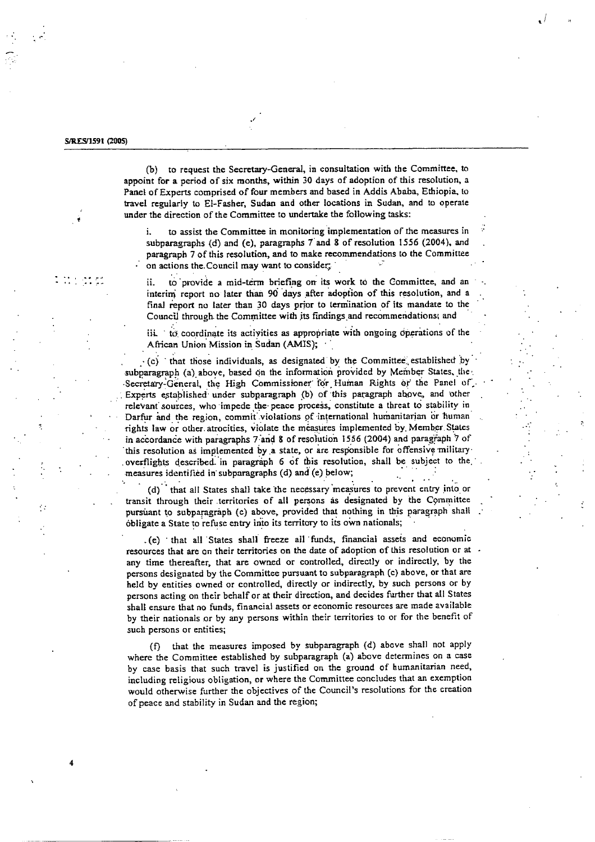and and

 $\overline{a}$ 

(b) to request the Secretary-General, in consultation with the Committee, to appoint for a period of six months, within 30 days of adoption of this resolution, a Panel of Experts comprised of four members and based in Addis Ababa, Ethiopia, to travel regularly to El-Fasher, Sudan and other locations in Sudan, and to operate under the direction of the Committee to undertake the following tasks:

to assist the Committee in monitoring implementation of the measures in i. subparagraphs (d) and (e), paragraphs 7 and 8 of resolution 1556 (2004), and paragraph 7 of this resolution, and to make recommendations to the Committee on actions the Council may want to consider;

to provide a mid-term briefing on its work to the Committee, and an ij. interim report no later than 90 days after adoption of this resolution, and a final report no later than 30 days prior to termination of its mandate to the Council through the Committee with its findings and recommendations; and

iii. to coordinate its activities as appropriate with ongoing operations of the African Union Mission in Sudan (AMIS);

 $\cdot$  (c) that those individuals, as designated by the Committee established by subparagraph (a) above, based on the information provided by Member States, the Secretary-General, the High Commissioner for Human Rights or the Panel of Experts established under subparagraph (b) of this paragraph above, and other relevant sources, who impede the peace process, constitute a threat to stability in Darfur and the region, commit violations of international humanitarian or human rights law or other atrocities, violate the measures implemented by Member States in accordance with paragraphs 7 and 8 of resolution 1556 (2004) and paragraph 7 of this resolution as implemented by a state, or are responsible for offensive military overflights described in paragraph 6 of this resolution, shall be subject to the measures identified in subparagraphs (d) and (e) below;

(d) that all States shall take the necessary measures to prevent entry into or transit through their territories of all persons as designated by the Committee pursuant to subparagraph (c) above, provided that nothing in this paragraph shall obligate a State to refuse entry into its territory to its own nationals;

.(e) that all States shall freeze all funds, financial assets and economic resources that are on their territories on the date of adoption of this resolution or at any time thereafter, that are owned or controlled, directly or indirectly, by the persons designated by the Committee pursuant to subparagraph (c) above, or that are held by entities owned or controlled, directly or indirectly, by such persons or by persons acting on their behalf or at their direction, and decides further that all States shall ensure that no funds, financial assets or economic resources are made available by their nationals or by any persons within their territories to or for the benefit of such persons or entities;

that the measures imposed by subparagraph (d) above shall not apply (f). where the Committee established by subparagraph (a) above determines on a case by case basis that such travel is justified on the ground of humanitarian need, including religious obligation, or where the Committee concludes that an exemption would otherwise further the objectives of the Council's resolutions for the creation of peace and stability in Sudan and the region;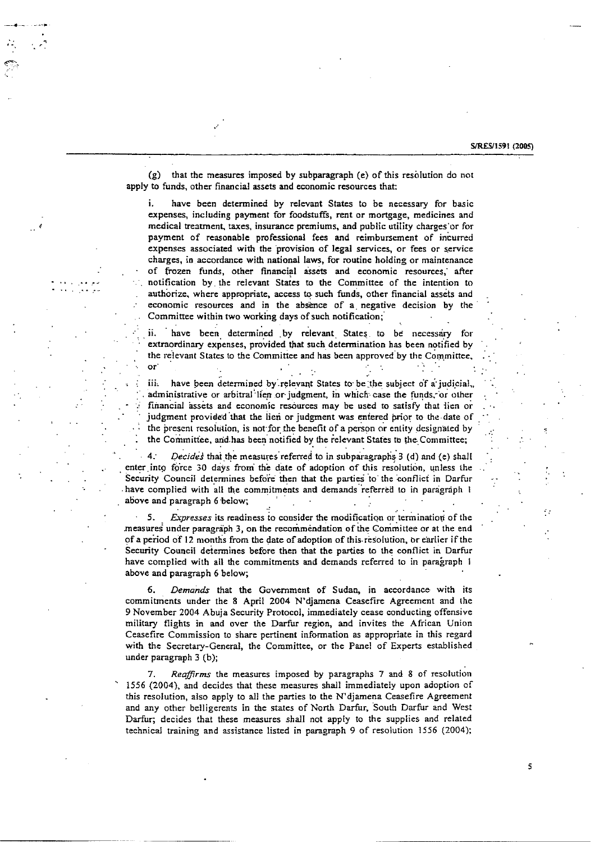S/RES/1591 (2005)

5

that the measures imposed by subparagraph (e) of this resolution do not  $(g)$ apply to funds, other financial assets and economic resources that:

have been determined by relevant States to be necessary for basic i. expenses, including payment for foodstuffs, rent or mortgage, medicines and medical treatment, taxes, insurance premiums, and public utility charges or for payment of reasonable professional fees and reimbursement of incurred expenses associated with the provision of legal services, or fees or service charges, in accordance with national laws, for routine holding or maintenance of frozen funds, other financial assets and economic resources, after notification by the relevant States to the Committee of the intention to authorize, where appropriate, access to such funds, other financial assets and economic resources and in the absence of a negative decision by the Committee within two working days of such notification;

have been determined by relevant States to be necessary for ii. extraordinary expenses, provided that such determination has been notified by the relevant States to the Committee and has been approved by the Committee,  $or$  $\mathbf{r}$  $\sim$   $\sim$ 

have been determined by relevant States to be the subject of a judicial, iii. administrative or arbitral lien or judgment, in which case the funds, or other financial assets and economic resources may be used to satisfy that lien or judgment provided that the lien or judgment was entered prior to the date of the present resolution, is not for the benefit of a person or entity designated by the Committee, and has been notified by the relevant States to the Committee;

 $4.1$ Decides that the measures referred to in subparagraphs 3 (d) and (e) shall enter into force 30 days from the date of adoption of this resolution, unless the Security Council determines before then that the parties to the conflict in Darfur have complied with all the commitments and demands referred to in paragraph I above and paragraph 6 below;

Expresses its readiness to consider the modification or termination of the 5. measures under paragraph 3, on the recommendation of the Committee or at the end of a period of 12 months from the date of adoption of this resolution, or earlier if the Security Council determines before then that the parties to the conflict in Darfur have complied with all the commitments and demands referred to in paragraph 1 above and paragraph 6 below;

6. Demands that the Government of Sudan, in accordance with its commitments under the 8 April 2004 N'diamena Ceasefire Agreement and the 9 November 2004 Abuja Security Protocol, immediately cease conducting offensive military flights in and over the Darfur region, and invites the African Union Ceasefire Commission to share pertinent information as appropriate in this regard with the Secretary-General, the Committee, or the Panel of Experts established under paragraph 3 (b);

Reaffirms the measures imposed by paragraphs 7 and 8 of resolution 7. 1556 (2004), and decides that these measures shall immediately upon adoption of this resolution, also apply to all the parties to the N'djamena Ceasefire Agreement and any other belligerents in the states of North Darfur, South Darfur and West Darfur; decides that these measures shall not apply to the supplies and related technical training and assistance listed in paragraph 9 of resolution 1556 (2004);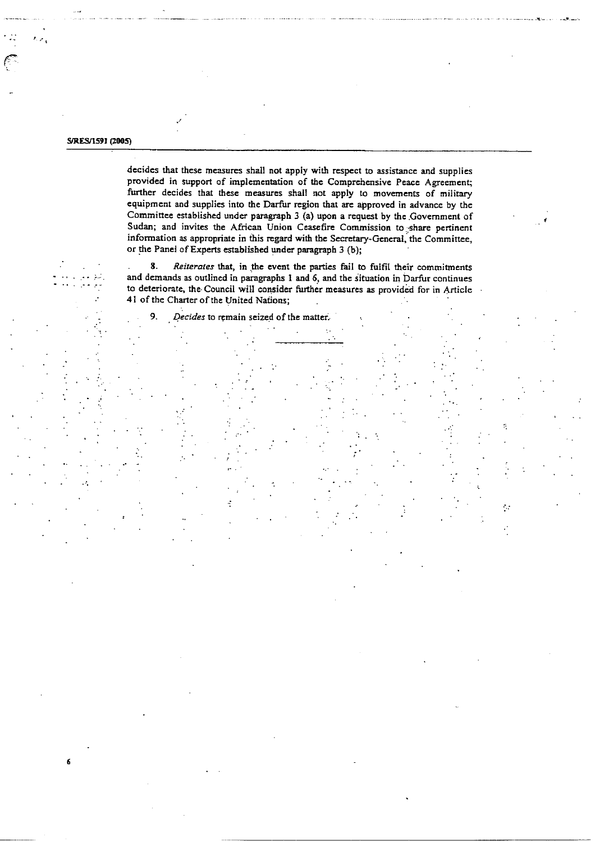#### S/RES/1591 (2005)

6

Κz.

decides that these measures shall not apply with respect to assistance and supplies provided in support of implementation of the Comprehensive Peace Agreement; further decides that these measures shall not apply to movements of military equipment and supplies into the Darfur region that are approved in advance by the Committee established under paragraph 3 (a) upon a request by the Government of Sudan; and invites the African Union Ceasefire Commission to share pertinent information as appropriate in this regard with the Secretary-General, the Committee, or the Panel of Experts established under paragraph 3 (b):

8. Reiterates that, in the event the parties fail to fulfil their commitments and demands as outlined in paragraphs 1 and 6, and the situation in Darfur continues to deteriorate, the Council will consider further measures as provided for in Article 41 of the Charter of the United Nations:

 $\mathcal{A}$ 

 $\bullet$ Decides to remain seized of the matter.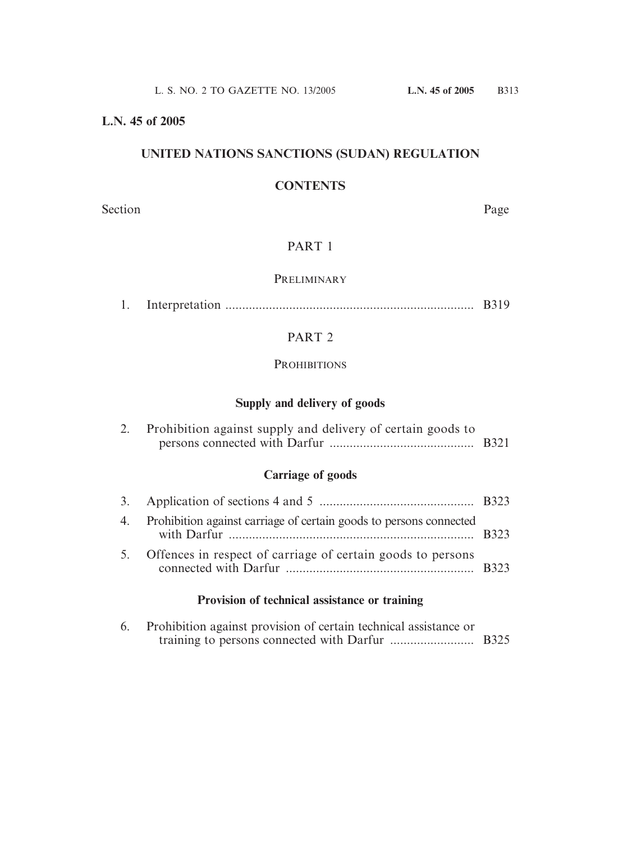#### **L.N. 45 of 2005**

# **UNITED NATIONS SANCTIONS (SUDAN) REGULATION**

#### **CONTENTS**

Section Page

#### PART 1

#### **PRELIMINARY**

|  |  | <b>B</b> 319 |
|--|--|--------------|
|--|--|--------------|

# PART 2

#### **PROHIBITIONS**

#### **Supply and delivery of goods**

| Prohibition against supply and delivery of certain goods to |  |
|-------------------------------------------------------------|--|
|                                                             |  |

# **Carriage of goods**

| 4. Prohibition against carriage of certain goods to persons connected |  |
|-----------------------------------------------------------------------|--|
| 5. Offences in respect of carriage of certain goods to persons        |  |

# **Provision of technical assistance or training**

| 6. Prohibition against provision of certain technical assistance or |  |
|---------------------------------------------------------------------|--|
|                                                                     |  |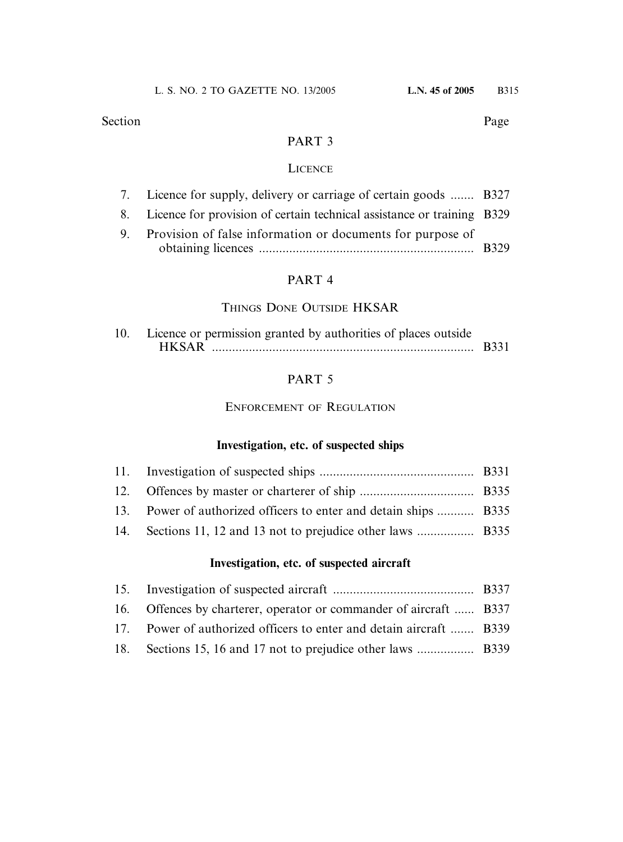Section Page

#### PART 3

#### **LICENCE**

| 7. Licence for supply, delivery or carriage of certain goods  B327        |  |
|---------------------------------------------------------------------------|--|
| 8. Licence for provision of certain technical assistance or training B329 |  |
| 9. Provision of false information or documents for purpose of             |  |
|                                                                           |  |

# PART 4

#### THINGS DONE OUTSIDE HKSAR

| 10. Licence or permission granted by authorities of places outside |  |
|--------------------------------------------------------------------|--|
| <b>HKSAR</b>                                                       |  |

#### PART 5

ENFORCEMENT OF REGULATION

### **Investigation, etc. of suspected ships**

| 13. Power of authorized officers to enter and detain ships  B335 |  |
|------------------------------------------------------------------|--|
|                                                                  |  |

# **Investigation, etc. of suspected aircraft**

| 16. Offences by charterer, operator or commander of aircraft  B337  |  |
|---------------------------------------------------------------------|--|
| 17. Power of authorized officers to enter and detain aircraft  B339 |  |
|                                                                     |  |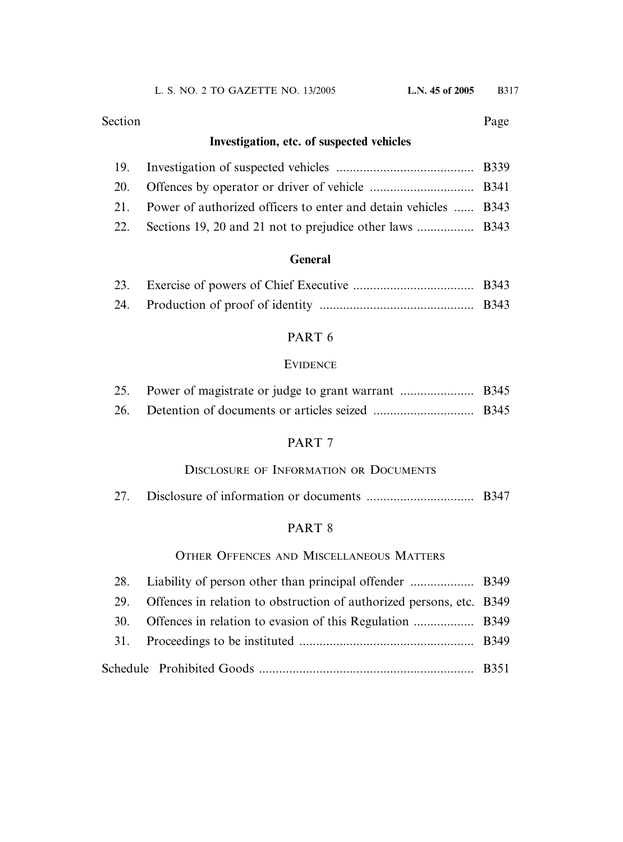#### Section Page

# **Investigation, etc. of suspected vehicles**

| 21. Power of authorized officers to enter and detain vehicles  B343 |  |
|---------------------------------------------------------------------|--|
|                                                                     |  |

# **General**

# PART 6

#### **EVIDENCE**

### PART 7

### DISCLOSURE OF INFORMATION OR DOCUMENTS

|  | 27. |  |  |
|--|-----|--|--|
|--|-----|--|--|

### PART 8

# OTHER OFFENCES AND MISCELLANEOUS MATTERS

| 29. | Offences in relation to obstruction of authorized persons, etc. B349 |  |
|-----|----------------------------------------------------------------------|--|
|     |                                                                      |  |
|     |                                                                      |  |
|     |                                                                      |  |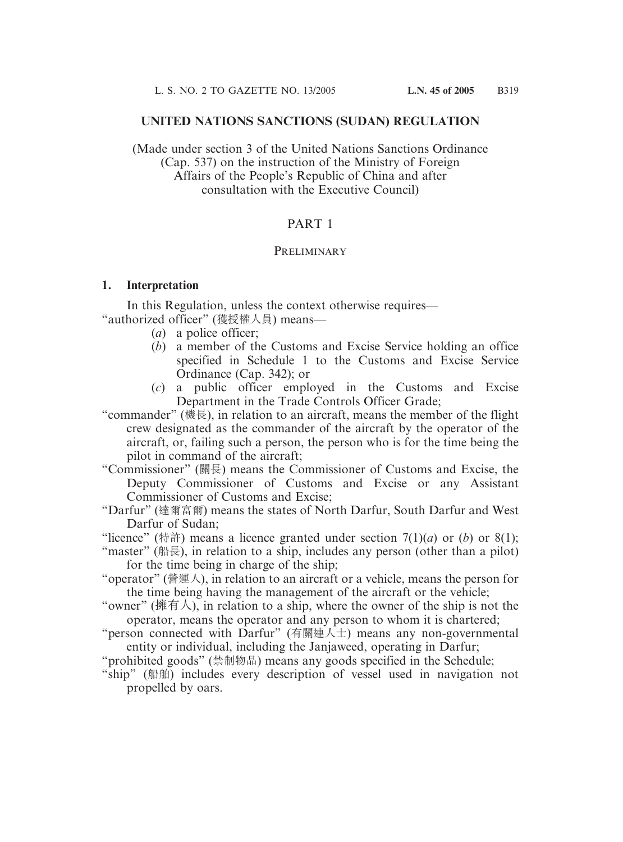#### **UNITED NATIONS SANCTIONS (SUDAN) REGULATION**

(Made under section 3 of the United Nations Sanctions Ordinance (Cap. 537) on the instruction of the Ministry of Foreign Affairs of the People's Republic of China and after consultation with the Executive Council)

#### PART 1

#### **PRELIMINARY**

#### **1. Interpretation**

In this Regulation, unless the context otherwise requires— "authorized officer" (獲授權人員) means—

- (*a*) a police officer;
- (*b*) a member of the Customs and Excise Service holding an office specified in Schedule 1 to the Customs and Excise Service Ordinance (Cap. 342); or
- (*c*) a public officer employed in the Customs and Excise Department in the Trade Controls Officer Grade;

"commander" (機長), in relation to an aircraft, means the member of the flight crew designated as the commander of the aircraft by the operator of the aircraft, or, failing such a person, the person who is for the time being the pilot in command of the aircraft;

"Commissioner" (關長) means the Commissioner of Customs and Excise, the Deputy Commissioner of Customs and Excise or any Assistant Commissioner of Customs and Excise;

"Darfur" (達爾富爾) means the states of North Darfur, South Darfur and West Darfur of Sudan;

"licence" (特許) means a licence granted under section  $7(1)(a)$  or  $(b)$  or  $8(1)$ ;

- "master" (船長), in relation to a ship, includes any person (other than a pilot) for the time being in charge of the ship;
- "operator" (營運人), in relation to an aircraft or a vehicle, means the person for the time being having the management of the aircraft or the vehicle;
- "owner" (擁有人), in relation to a ship, where the owner of the ship is not the operator, means the operator and any person to whom it is chartered;
- "person connected with Darfur" (有關連人士) means any non-governmental entity or individual, including the Janjaweed, operating in Darfur;
- "prohibited goods" (禁制物品) means any goods specified in the Schedule;
- "ship" (船舶) includes every description of vessel used in navigation not propelled by oars.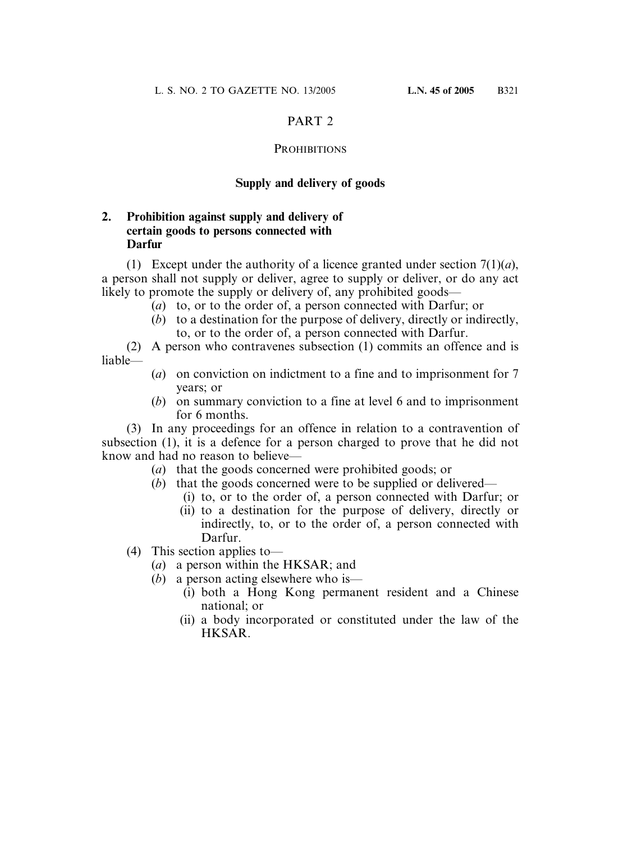#### PART<sub>2</sub>

#### **PROHIBITIONS**

#### **Supply and delivery of goods**

#### **2. Prohibition against supply and delivery of certain goods to persons connected with Darfur**

(1) Except under the authority of a licence granted under section  $7(1)(a)$ , a person shall not supply or deliver, agree to supply or deliver, or do any act likely to promote the supply or delivery of, any prohibited goods—

- (*a*) to, or to the order of, a person connected with Darfur; or
- (*b*) to a destination for the purpose of delivery, directly or indirectly, to, or to the order of, a person connected with Darfur.

(2) A person who contravenes subsection (1) commits an offence and is liable—

- (*a*) on conviction on indictment to a fine and to imprisonment for 7 years; or
- (*b*) on summary conviction to a fine at level 6 and to imprisonment for 6 months.

(3) In any proceedings for an offence in relation to a contravention of subsection (1), it is a defence for a person charged to prove that he did not know and had no reason to believe—

- (*a*) that the goods concerned were prohibited goods; or
- (*b*) that the goods concerned were to be supplied or delivered—
	- (i) to, or to the order of, a person connected with Darfur; or
	- (ii) to a destination for the purpose of delivery, directly or indirectly, to, or to the order of, a person connected with Darfur.
- (4) This section applies to—
	- (*a*) a person within the HKSAR; and
	- (*b*) a person acting elsewhere who is—
		- (i) both a Hong Kong permanent resident and a Chinese national; or
		- (ii) a body incorporated or constituted under the law of the HKSAR.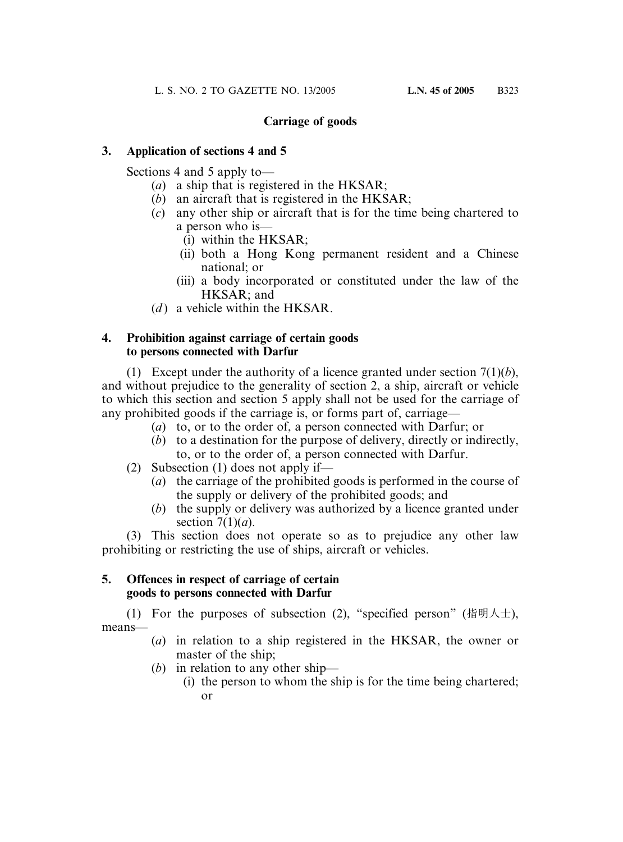#### **Carriage of goods**

#### **3. Application of sections 4 and 5**

Sections 4 and 5 apply to—

- (*a*) a ship that is registered in the HKSAR;
- (*b*) an aircraft that is registered in the HKSAR;
- (*c*) any other ship or aircraft that is for the time being chartered to a person who is—
	- (i) within the HKSAR;
	- (ii) both a Hong Kong permanent resident and a Chinese national; or
	- (iii) a body incorporated or constituted under the law of the HKSAR; and
- $(d)$  a vehicle within the HKSAR.

#### **4. Prohibition against carriage of certain goods to persons connected with Darfur**

(1) Except under the authority of a licence granted under section 7(1)(*b*), and without prejudice to the generality of section 2, a ship, aircraft or vehicle to which this section and section 5 apply shall not be used for the carriage of any prohibited goods if the carriage is, or forms part of, carriage—

- (*a*) to, or to the order of, a person connected with Darfur; or
- (*b*) to a destination for the purpose of delivery, directly or indirectly, to, or to the order of, a person connected with Darfur.
- (2) Subsection (1) does not apply if—
	- (*a*) the carriage of the prohibited goods is performed in the course of the supply or delivery of the prohibited goods; and
	- (*b*) the supply or delivery was authorized by a licence granted under section 7(1)(*a*).

(3) This section does not operate so as to prejudice any other law prohibiting or restricting the use of ships, aircraft or vehicles.

#### **5. Offences in respect of carriage of certain goods to persons connected with Darfur**

(1) For the purposes of subsection (2), "specified person" (指明人士), means—

- (*a*) in relation to a ship registered in the HKSAR, the owner or master of the ship;
- (*b*) in relation to any other ship—
	- (i) the person to whom the ship is for the time being chartered; or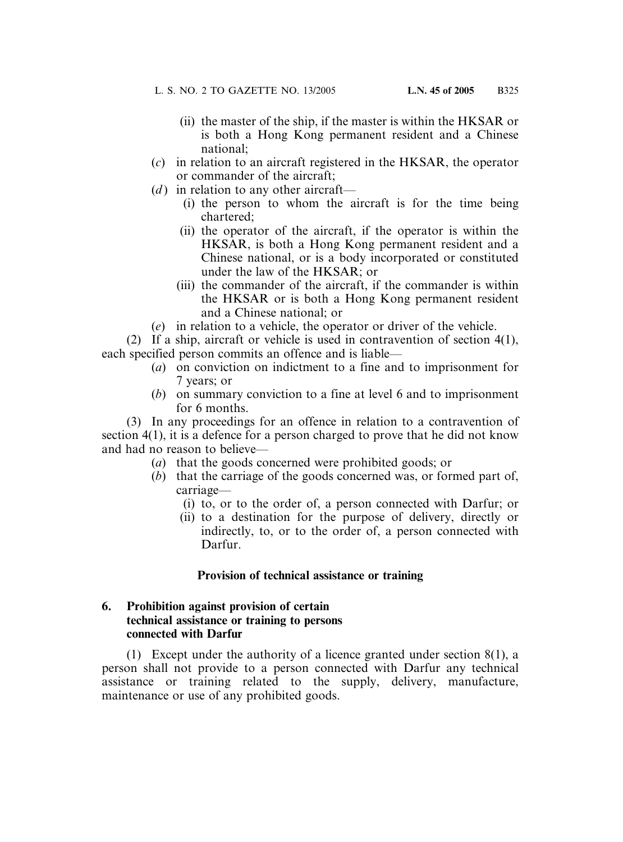- (ii) the master of the ship, if the master is within the HKSAR or is both a Hong Kong permanent resident and a Chinese national;
- (*c*) in relation to an aircraft registered in the HKSAR, the operator or commander of the aircraft;
- (*d*) in relation to any other aircraft—
	- (i) the person to whom the aircraft is for the time being chartered;
	- (ii) the operator of the aircraft, if the operator is within the HKSAR, is both a Hong Kong permanent resident and a Chinese national, or is a body incorporated or constituted under the law of the HKSAR; or
	- (iii) the commander of the aircraft, if the commander is within the HKSAR or is both a Hong Kong permanent resident and a Chinese national; or
- (*e*) in relation to a vehicle, the operator or driver of the vehicle.

(2) If a ship, aircraft or vehicle is used in contravention of section 4(1), each specified person commits an offence and is liable—

- (*a*) on conviction on indictment to a fine and to imprisonment for 7 years; or
- (*b*) on summary conviction to a fine at level 6 and to imprisonment for 6 months.

(3) In any proceedings for an offence in relation to a contravention of section 4(1), it is a defence for a person charged to prove that he did not know and had no reason to believe—

- (*a*) that the goods concerned were prohibited goods; or
- (*b*) that the carriage of the goods concerned was, or formed part of, carriage—
	- (i) to, or to the order of, a person connected with Darfur; or
	- (ii) to a destination for the purpose of delivery, directly or indirectly, to, or to the order of, a person connected with Darfur.

#### **Provision of technical assistance or training**

#### **6. Prohibition against provision of certain technical assistance or training to persons connected with Darfur**

(1) Except under the authority of a licence granted under section 8(1), a person shall not provide to a person connected with Darfur any technical assistance or training related to the supply, delivery, manufacture, maintenance or use of any prohibited goods.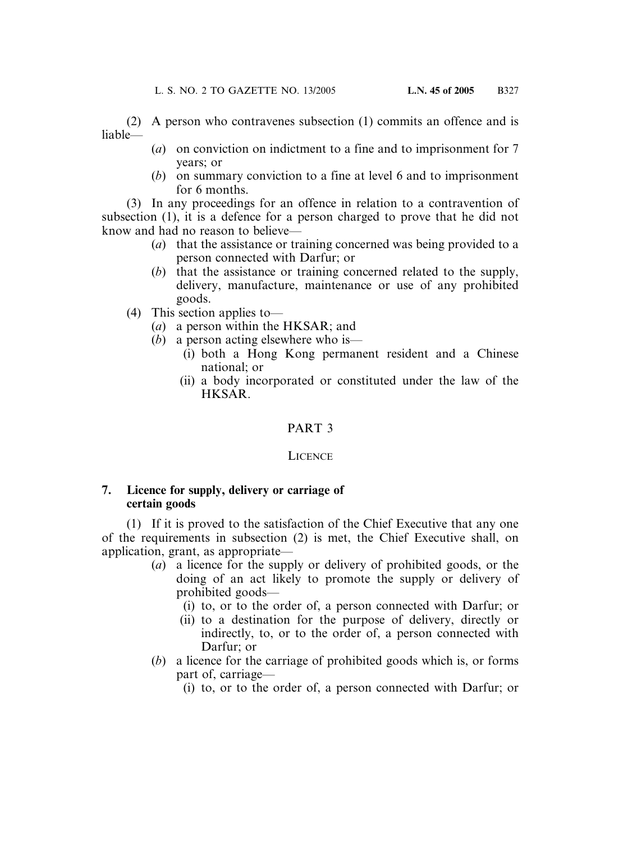(2) A person who contravenes subsection (1) commits an offence and is liable—

- (*a*) on conviction on indictment to a fine and to imprisonment for 7 years; or
- (*b*) on summary conviction to a fine at level 6 and to imprisonment for 6 months.

(3) In any proceedings for an offence in relation to a contravention of subsection (1), it is a defence for a person charged to prove that he did not know and had no reason to believe—

- (*a*) that the assistance or training concerned was being provided to a person connected with Darfur; or
- (*b*) that the assistance or training concerned related to the supply, delivery, manufacture, maintenance or use of any prohibited goods.
- (4) This section applies to—
	- (*a*) a person within the HKSAR; and
	- (*b*) a person acting elsewhere who is—
		- (i) both a Hong Kong permanent resident and a Chinese national; or
		- (ii) a body incorporated or constituted under the law of the HKSAR.

### PART 3

#### **LICENCE**

#### **7. Licence for supply, delivery or carriage of certain goods**

(1) If it is proved to the satisfaction of the Chief Executive that any one of the requirements in subsection (2) is met, the Chief Executive shall, on application, grant, as appropriate—

- (*a*) a licence for the supply or delivery of prohibited goods, or the doing of an act likely to promote the supply or delivery of prohibited goods—
	- (i) to, or to the order of, a person connected with Darfur; or
	- (ii) to a destination for the purpose of delivery, directly or indirectly, to, or to the order of, a person connected with Darfur; or
- (*b*) a licence for the carriage of prohibited goods which is, or forms part of, carriage—
	- (i) to, or to the order of, a person connected with Darfur; or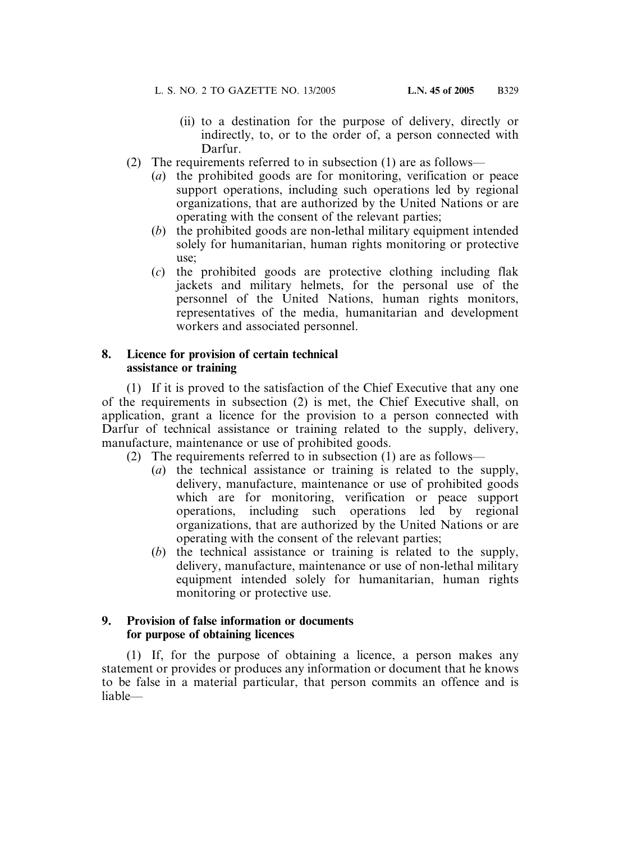- (ii) to a destination for the purpose of delivery, directly or indirectly, to, or to the order of, a person connected with Darfur.
- (2) The requirements referred to in subsection (1) are as follows—
	- (*a*) the prohibited goods are for monitoring, verification or peace support operations, including such operations led by regional organizations, that are authorized by the United Nations or are operating with the consent of the relevant parties;
	- (*b*) the prohibited goods are non-lethal military equipment intended solely for humanitarian, human rights monitoring or protective use;
	- (*c*) the prohibited goods are protective clothing including flak jackets and military helmets, for the personal use of the personnel of the United Nations, human rights monitors, representatives of the media, humanitarian and development workers and associated personnel.

#### **8. Licence for provision of certain technical assistance or training**

(1) If it is proved to the satisfaction of the Chief Executive that any one of the requirements in subsection (2) is met, the Chief Executive shall, on application, grant a licence for the provision to a person connected with Darfur of technical assistance or training related to the supply, delivery, manufacture, maintenance or use of prohibited goods.

- (2) The requirements referred to in subsection (1) are as follows—
	- (*a*) the technical assistance or training is related to the supply, delivery, manufacture, maintenance or use of prohibited goods which are for monitoring, verification or peace support operations, including such operations led by regional organizations, that are authorized by the United Nations or are operating with the consent of the relevant parties;
	- (*b*) the technical assistance or training is related to the supply, delivery, manufacture, maintenance or use of non-lethal military equipment intended solely for humanitarian, human rights monitoring or protective use.

#### **9. Provision of false information or documents for purpose of obtaining licences**

(1) If, for the purpose of obtaining a licence, a person makes any statement or provides or produces any information or document that he knows to be false in a material particular, that person commits an offence and is liable—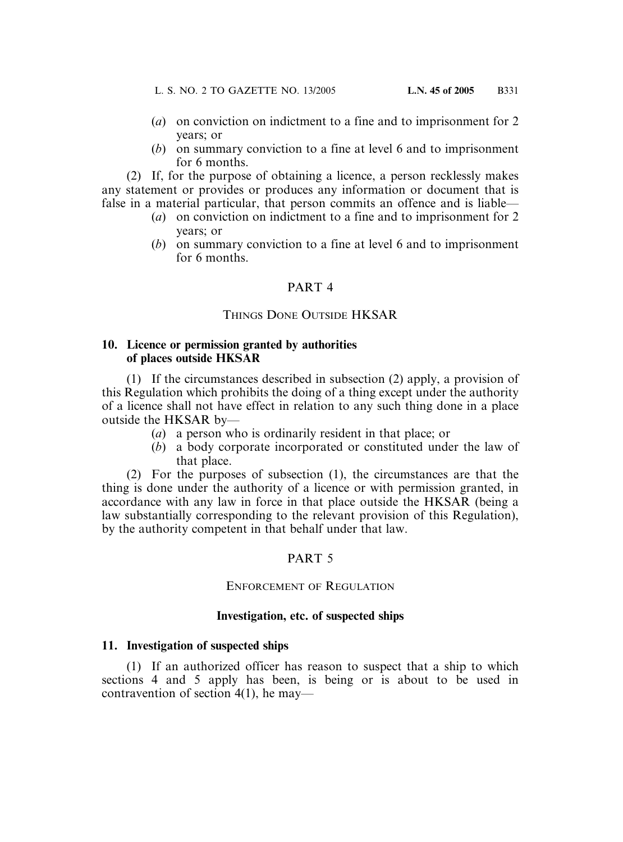- (*a*) on conviction on indictment to a fine and to imprisonment for 2 years; or
- (*b*) on summary conviction to a fine at level 6 and to imprisonment for 6 months.

(2) If, for the purpose of obtaining a licence, a person recklessly makes any statement or provides or produces any information or document that is false in a material particular, that person commits an offence and is liable—

- (*a*) on conviction on indictment to a fine and to imprisonment for 2 years; or
- (*b*) on summary conviction to a fine at level 6 and to imprisonment for 6 months.

### PART 4

# THINGS DONE OUTSIDE HKSAR

#### **10. Licence or permission granted by authorities of places outside HKSAR**

(1) If the circumstances described in subsection (2) apply, a provision of this Regulation which prohibits the doing of a thing except under the authority of a licence shall not have effect in relation to any such thing done in a place outside the HKSAR by—

- (*a*) a person who is ordinarily resident in that place; or
- (*b*) a body corporate incorporated or constituted under the law of that place.

(2) For the purposes of subsection (1), the circumstances are that the thing is done under the authority of a licence or with permission granted, in accordance with any law in force in that place outside the HKSAR (being a law substantially corresponding to the relevant provision of this Regulation), by the authority competent in that behalf under that law.

# PART 5

### ENFORCEMENT OF REGULATION

### **Investigation, etc. of suspected ships**

### **11. Investigation of suspected ships**

(1) If an authorized officer has reason to suspect that a ship to which sections 4 and 5 apply has been, is being or is about to be used in contravention of section 4(1), he may—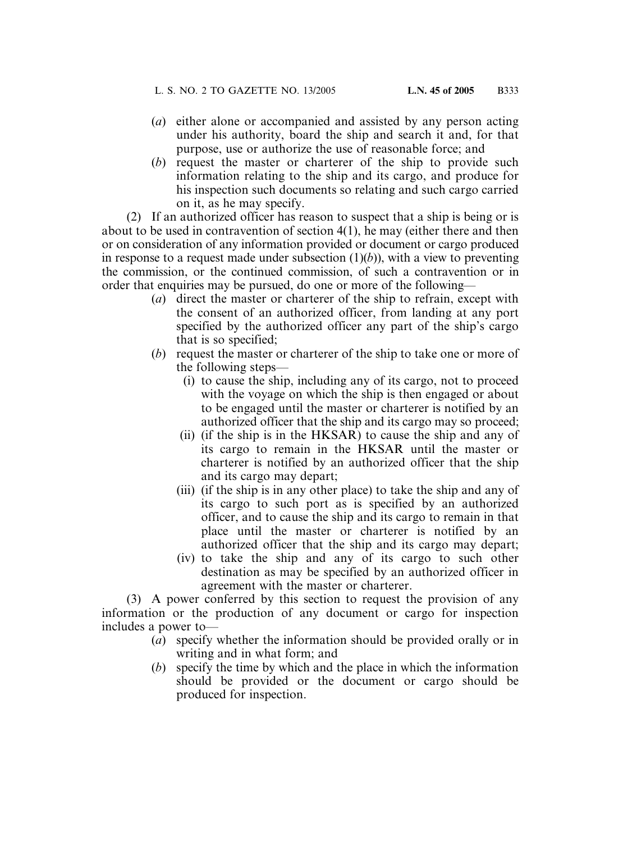- (*a*) either alone or accompanied and assisted by any person acting under his authority, board the ship and search it and, for that purpose, use or authorize the use of reasonable force; and
- (*b*) request the master or charterer of the ship to provide such information relating to the ship and its cargo, and produce for his inspection such documents so relating and such cargo carried on it, as he may specify.

(2) If an authorized officer has reason to suspect that a ship is being or is about to be used in contravention of section 4(1), he may (either there and then or on consideration of any information provided or document or cargo produced in response to a request made under subsection  $(1)(b)$ ), with a view to preventing the commission, or the continued commission, of such a contravention or in order that enquiries may be pursued, do one or more of the following—

- (*a*) direct the master or charterer of the ship to refrain, except with the consent of an authorized officer, from landing at any port specified by the authorized officer any part of the ship's cargo that is so specified;
- (*b*) request the master or charterer of the ship to take one or more of the following steps—
	- (i) to cause the ship, including any of its cargo, not to proceed with the voyage on which the ship is then engaged or about to be engaged until the master or charterer is notified by an authorized officer that the ship and its cargo may so proceed;
	- (ii) (if the ship is in the HKSAR) to cause the ship and any of its cargo to remain in the HKSAR until the master or charterer is notified by an authorized officer that the ship and its cargo may depart;
	- (iii) (if the ship is in any other place) to take the ship and any of its cargo to such port as is specified by an authorized officer, and to cause the ship and its cargo to remain in that place until the master or charterer is notified by an authorized officer that the ship and its cargo may depart;
	- (iv) to take the ship and any of its cargo to such other destination as may be specified by an authorized officer in agreement with the master or charterer.

(3) A power conferred by this section to request the provision of any information or the production of any document or cargo for inspection includes a power to—

- (*a*) specify whether the information should be provided orally or in writing and in what form; and
- (*b*) specify the time by which and the place in which the information should be provided or the document or cargo should be produced for inspection.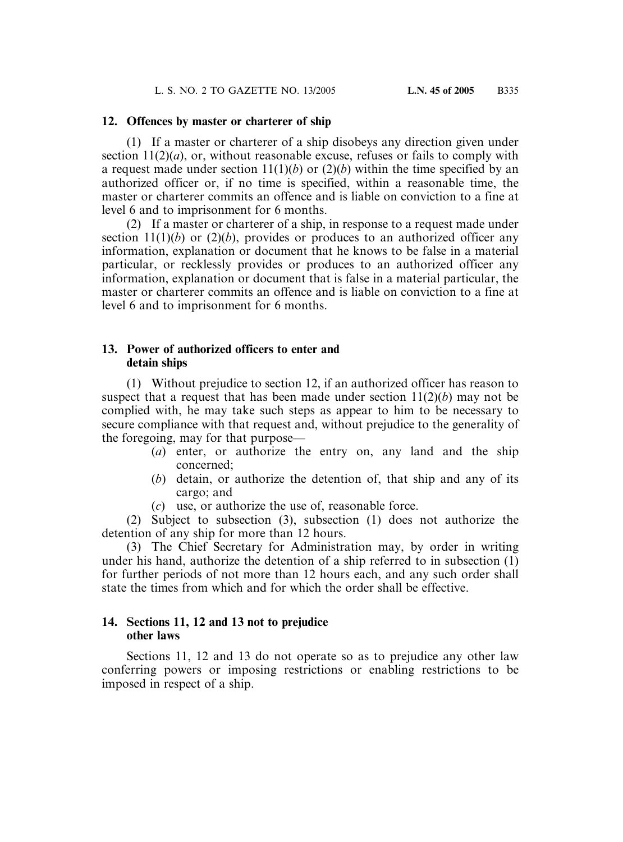#### **12. Offences by master or charterer of ship**

(1) If a master or charterer of a ship disobeys any direction given under section  $11(2)(a)$ , or, without reasonable excuse, refuses or fails to comply with a request made under section  $11(1)(b)$  or  $(2)(b)$  within the time specified by an authorized officer or, if no time is specified, within a reasonable time, the master or charterer commits an offence and is liable on conviction to a fine at level 6 and to imprisonment for 6 months.

(2) If a master or charterer of a ship, in response to a request made under section  $11(1)(b)$  or  $(2)(b)$ , provides or produces to an authorized officer any information, explanation or document that he knows to be false in a material particular, or recklessly provides or produces to an authorized officer any information, explanation or document that is false in a material particular, the master or charterer commits an offence and is liable on conviction to a fine at level 6 and to imprisonment for 6 months.

#### **13. Power of authorized officers to enter and detain ships**

(1) Without prejudice to section 12, if an authorized officer has reason to suspect that a request that has been made under section 11(2)(*b*) may not be complied with, he may take such steps as appear to him to be necessary to secure compliance with that request and, without prejudice to the generality of the foregoing, may for that purpose—

- (*a*) enter, or authorize the entry on, any land and the ship concerned;
- (*b*) detain, or authorize the detention of, that ship and any of its cargo; and
- (*c*) use, or authorize the use of, reasonable force.

(2) Subject to subsection (3), subsection (1) does not authorize the detention of any ship for more than 12 hours.

(3) The Chief Secretary for Administration may, by order in writing under his hand, authorize the detention of a ship referred to in subsection (1) for further periods of not more than 12 hours each, and any such order shall state the times from which and for which the order shall be effective.

#### **14. Sections 11, 12 and 13 not to prejudice other laws**

Sections 11, 12 and 13 do not operate so as to prejudice any other law conferring powers or imposing restrictions or enabling restrictions to be imposed in respect of a ship.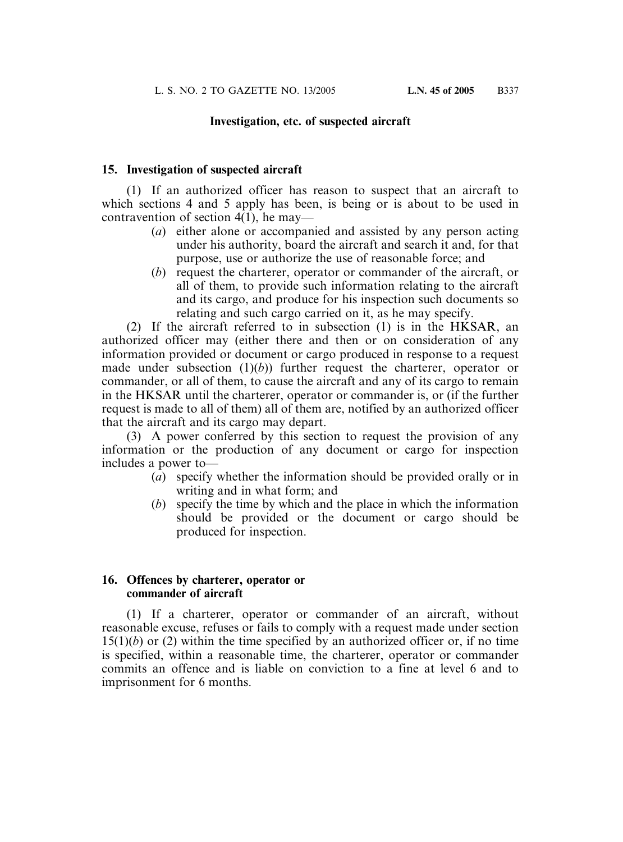#### **Investigation, etc. of suspected aircraft**

#### **15. Investigation of suspected aircraft**

(1) If an authorized officer has reason to suspect that an aircraft to which sections 4 and 5 apply has been, is being or is about to be used in contravention of section 4(1), he may—

- (*a*) either alone or accompanied and assisted by any person acting under his authority, board the aircraft and search it and, for that purpose, use or authorize the use of reasonable force; and
- (*b*) request the charterer, operator or commander of the aircraft, or all of them, to provide such information relating to the aircraft and its cargo, and produce for his inspection such documents so relating and such cargo carried on it, as he may specify.

(2) If the aircraft referred to in subsection (1) is in the HKSAR, an authorized officer may (either there and then or on consideration of any information provided or document or cargo produced in response to a request made under subsection  $(1)(b)$ ) further request the charterer, operator or commander, or all of them, to cause the aircraft and any of its cargo to remain in the HKSAR until the charterer, operator or commander is, or (if the further request is made to all of them) all of them are, notified by an authorized officer that the aircraft and its cargo may depart.

(3) A power conferred by this section to request the provision of any information or the production of any document or cargo for inspection includes a power to—

- (*a*) specify whether the information should be provided orally or in writing and in what form; and
- (*b*) specify the time by which and the place in which the information should be provided or the document or cargo should be produced for inspection.

#### **16. Offences by charterer, operator or commander of aircraft**

(1) If a charterer, operator or commander of an aircraft, without reasonable excuse, refuses or fails to comply with a request made under section  $15(1)(b)$  or (2) within the time specified by an authorized officer or, if no time is specified, within a reasonable time, the charterer, operator or commander commits an offence and is liable on conviction to a fine at level 6 and to imprisonment for 6 months.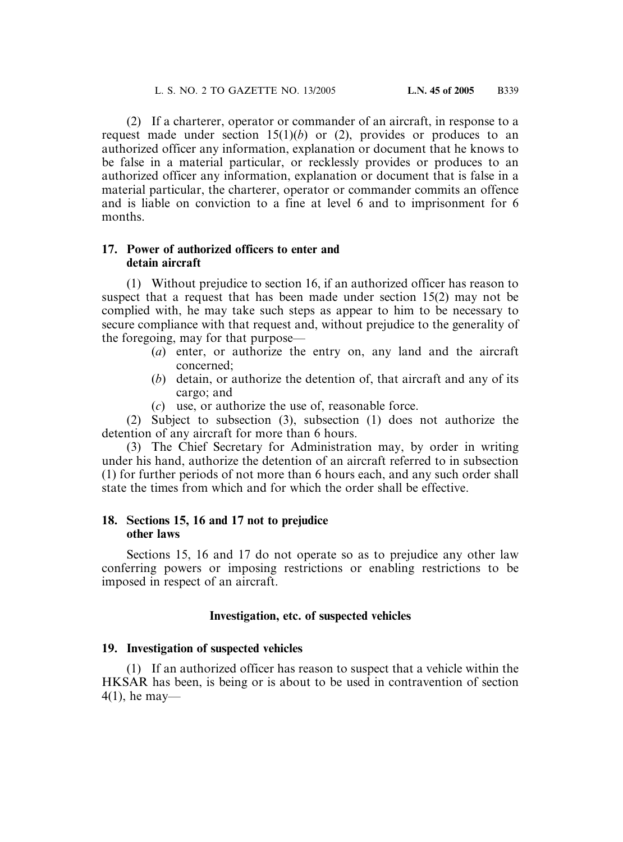(2) If a charterer, operator or commander of an aircraft, in response to a request made under section  $15(1)(b)$  or (2), provides or produces to an authorized officer any information, explanation or document that he knows to be false in a material particular, or recklessly provides or produces to an authorized officer any information, explanation or document that is false in a material particular, the charterer, operator or commander commits an offence and is liable on conviction to a fine at level 6 and to imprisonment for 6 months.

#### **17. Power of authorized officers to enter and detain aircraft**

(1) Without prejudice to section 16, if an authorized officer has reason to suspect that a request that has been made under section 15(2) may not be complied with, he may take such steps as appear to him to be necessary to secure compliance with that request and, without prejudice to the generality of the foregoing, may for that purpose—

- (*a*) enter, or authorize the entry on, any land and the aircraft concerned;
- (*b*) detain, or authorize the detention of, that aircraft and any of its cargo; and
- (*c*) use, or authorize the use of, reasonable force.

(2) Subject to subsection (3), subsection (1) does not authorize the detention of any aircraft for more than 6 hours.

(3) The Chief Secretary for Administration may, by order in writing under his hand, authorize the detention of an aircraft referred to in subsection (1) for further periods of not more than 6 hours each, and any such order shall state the times from which and for which the order shall be effective.

#### **18. Sections 15, 16 and 17 not to prejudice other laws**

Sections 15, 16 and 17 do not operate so as to prejudice any other law conferring powers or imposing restrictions or enabling restrictions to be imposed in respect of an aircraft.

### **Investigation, etc. of suspected vehicles**

### **19. Investigation of suspected vehicles**

(1) If an authorized officer has reason to suspect that a vehicle within the HKSAR has been, is being or is about to be used in contravention of section 4(1), he may—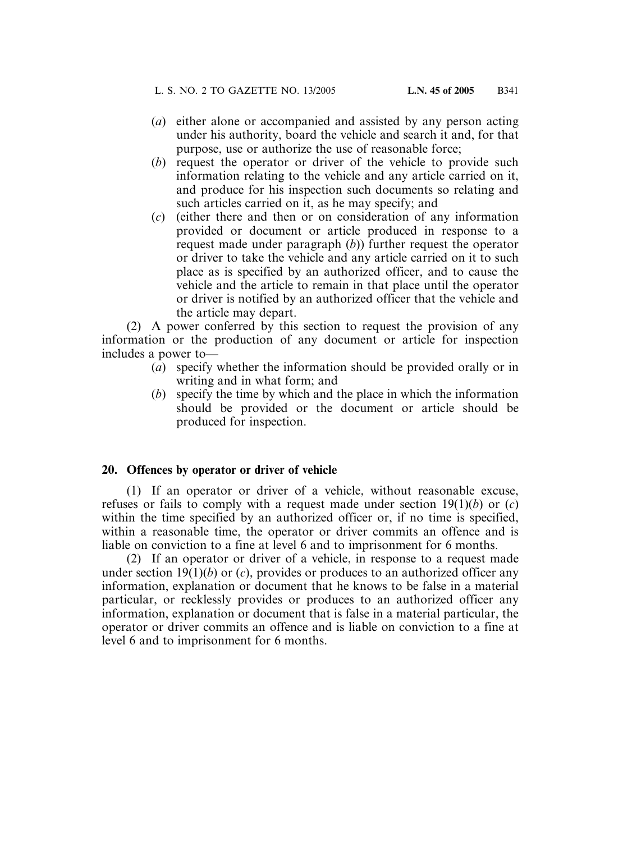- (*a*) either alone or accompanied and assisted by any person acting under his authority, board the vehicle and search it and, for that purpose, use or authorize the use of reasonable force;
- (*b*) request the operator or driver of the vehicle to provide such information relating to the vehicle and any article carried on it, and produce for his inspection such documents so relating and such articles carried on it, as he may specify; and
- (*c*) (either there and then or on consideration of any information provided or document or article produced in response to a request made under paragraph (*b*)) further request the operator or driver to take the vehicle and any article carried on it to such place as is specified by an authorized officer, and to cause the vehicle and the article to remain in that place until the operator or driver is notified by an authorized officer that the vehicle and the article may depart.

(2) A power conferred by this section to request the provision of any information or the production of any document or article for inspection includes a power to—

- (*a*) specify whether the information should be provided orally or in writing and in what form; and
- (*b*) specify the time by which and the place in which the information should be provided or the document or article should be produced for inspection.

#### **20. Offences by operator or driver of vehicle**

(1) If an operator or driver of a vehicle, without reasonable excuse, refuses or fails to comply with a request made under section 19(1)(*b*) or (*c*) within the time specified by an authorized officer or, if no time is specified. within a reasonable time, the operator or driver commits an offence and is liable on conviction to a fine at level 6 and to imprisonment for 6 months.

(2) If an operator or driver of a vehicle, in response to a request made under section 19(1)(*b*) or (*c*), provides or produces to an authorized officer any information, explanation or document that he knows to be false in a material particular, or recklessly provides or produces to an authorized officer any information, explanation or document that is false in a material particular, the operator or driver commits an offence and is liable on conviction to a fine at level 6 and to imprisonment for 6 months.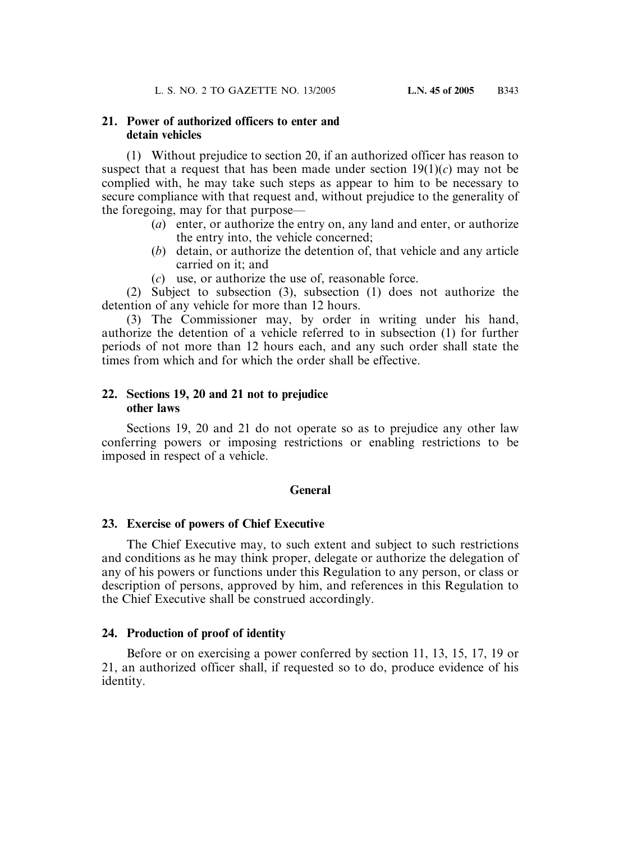#### **21. Power of authorized officers to enter and detain vehicles**

(1) Without prejudice to section 20, if an authorized officer has reason to suspect that a request that has been made under section  $19(1)(c)$  may not be complied with, he may take such steps as appear to him to be necessary to secure compliance with that request and, without prejudice to the generality of the foregoing, may for that purpose—

- (*a*) enter, or authorize the entry on, any land and enter, or authorize the entry into, the vehicle concerned;
- (*b*) detain, or authorize the detention of, that vehicle and any article carried on it; and
- (*c*) use, or authorize the use of, reasonable force.

(2) Subject to subsection (3), subsection (1) does not authorize the detention of any vehicle for more than 12 hours.

(3) The Commissioner may, by order in writing under his hand, authorize the detention of a vehicle referred to in subsection (1) for further periods of not more than 12 hours each, and any such order shall state the times from which and for which the order shall be effective.

#### **22. Sections 19, 20 and 21 not to prejudice other laws**

Sections 19, 20 and 21 do not operate so as to prejudice any other law conferring powers or imposing restrictions or enabling restrictions to be imposed in respect of a vehicle.

#### **General**

#### **23. Exercise of powers of Chief Executive**

The Chief Executive may, to such extent and subject to such restrictions and conditions as he may think proper, delegate or authorize the delegation of any of his powers or functions under this Regulation to any person, or class or description of persons, approved by him, and references in this Regulation to the Chief Executive shall be construed accordingly.

#### **24. Production of proof of identity**

Before or on exercising a power conferred by section 11, 13, 15, 17, 19 or 21, an authorized officer shall, if requested so to do, produce evidence of his identity.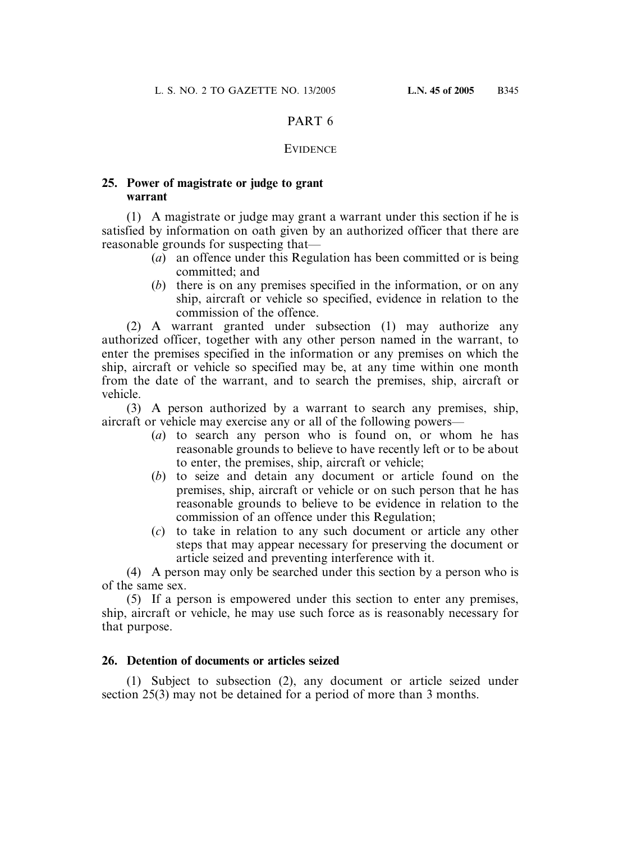#### PART 6

#### **EVIDENCE**

#### **25. Power of magistrate or judge to grant warrant**

(1) A magistrate or judge may grant a warrant under this section if he is satisfied by information on oath given by an authorized officer that there are reasonable grounds for suspecting that—

- (*a*) an offence under this Regulation has been committed or is being committed; and
- (*b*) there is on any premises specified in the information, or on any ship, aircraft or vehicle so specified, evidence in relation to the commission of the offence.

(2) A warrant granted under subsection (1) may authorize any authorized officer, together with any other person named in the warrant, to enter the premises specified in the information or any premises on which the ship, aircraft or vehicle so specified may be, at any time within one month from the date of the warrant, and to search the premises, ship, aircraft or vehicle.

(3) A person authorized by a warrant to search any premises, ship, aircraft or vehicle may exercise any or all of the following powers—

- (*a*) to search any person who is found on, or whom he has reasonable grounds to believe to have recently left or to be about to enter, the premises, ship, aircraft or vehicle;
- (*b*) to seize and detain any document or article found on the premises, ship, aircraft or vehicle or on such person that he has reasonable grounds to believe to be evidence in relation to the commission of an offence under this Regulation;
- (*c*) to take in relation to any such document or article any other steps that may appear necessary for preserving the document or article seized and preventing interference with it.

(4) A person may only be searched under this section by a person who is of the same sex.

(5) If a person is empowered under this section to enter any premises, ship, aircraft or vehicle, he may use such force as is reasonably necessary for that purpose.

#### **26. Detention of documents or articles seized**

(1) Subject to subsection (2), any document or article seized under section 25(3) may not be detained for a period of more than 3 months.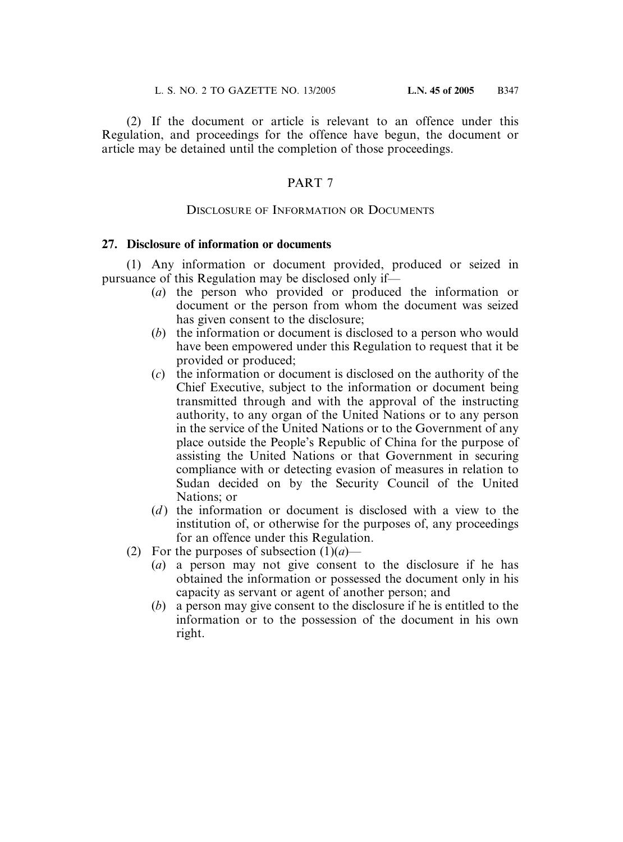(2) If the document or article is relevant to an offence under this Regulation, and proceedings for the offence have begun, the document or article may be detained until the completion of those proceedings.

#### PART 7

#### DISCLOSURE OF INFORMATION OR DOCUMENTS

#### **27. Disclosure of information or documents**

(1) Any information or document provided, produced or seized in pursuance of this Regulation may be disclosed only if—

- (*a*) the person who provided or produced the information or document or the person from whom the document was seized has given consent to the disclosure;
- (*b*) the information or document is disclosed to a person who would have been empowered under this Regulation to request that it be provided or produced;
- (*c*) the information or document is disclosed on the authority of the Chief Executive, subject to the information or document being transmitted through and with the approval of the instructing authority, to any organ of the United Nations or to any person in the service of the United Nations or to the Government of any place outside the People's Republic of China for the purpose of assisting the United Nations or that Government in securing compliance with or detecting evasion of measures in relation to Sudan decided on by the Security Council of the United Nations; or
- (*d*) the information or document is disclosed with a view to the institution of, or otherwise for the purposes of, any proceedings for an offence under this Regulation.
- (2) For the purposes of subsection  $(1)(a)$ 
	- (*a*) a person may not give consent to the disclosure if he has obtained the information or possessed the document only in his capacity as servant or agent of another person; and
	- (*b*) a person may give consent to the disclosure if he is entitled to the information or to the possession of the document in his own right.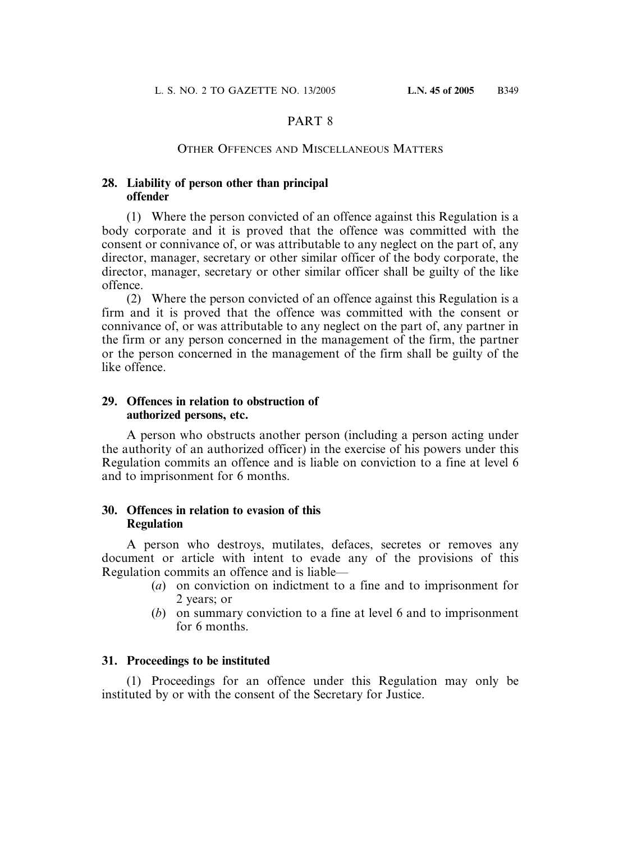### PART 8

#### OTHER OFFENCES AND MISCELLANEOUS MATTERS

#### **28. Liability of person other than principal offender**

(1) Where the person convicted of an offence against this Regulation is a body corporate and it is proved that the offence was committed with the consent or connivance of, or was attributable to any neglect on the part of, any director, manager, secretary or other similar officer of the body corporate, the director, manager, secretary or other similar officer shall be guilty of the like offence.

(2) Where the person convicted of an offence against this Regulation is a firm and it is proved that the offence was committed with the consent or connivance of, or was attributable to any neglect on the part of, any partner in the firm or any person concerned in the management of the firm, the partner or the person concerned in the management of the firm shall be guilty of the like offence.

#### **29. Offences in relation to obstruction of authorized persons, etc.**

A person who obstructs another person (including a person acting under the authority of an authorized officer) in the exercise of his powers under this Regulation commits an offence and is liable on conviction to a fine at level 6 and to imprisonment for 6 months.

#### **30. Offences in relation to evasion of this Regulation**

A person who destroys, mutilates, defaces, secretes or removes any document or article with intent to evade any of the provisions of this Regulation commits an offence and is liable—

- (*a*) on conviction on indictment to a fine and to imprisonment for 2 years; or
- (*b*) on summary conviction to a fine at level 6 and to imprisonment for 6 months.

#### **31. Proceedings to be instituted**

(1) Proceedings for an offence under this Regulation may only be instituted by or with the consent of the Secretary for Justice.